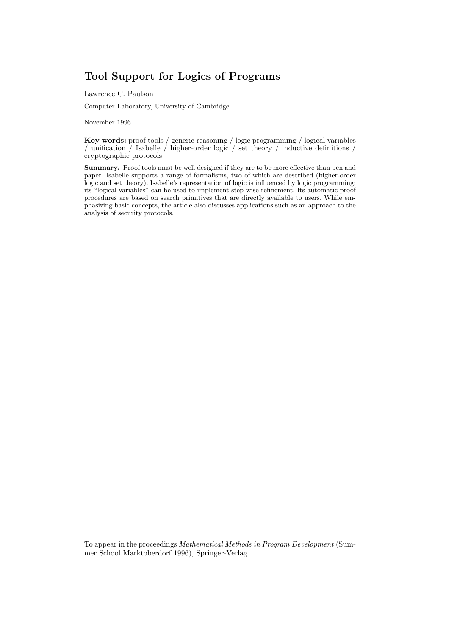## **Tool Support for Logics of Programs**

Lawrence C. Paulson

Computer Laboratory, University of Cambridge

November 1996

**Key words:** proof tools / generic reasoning / logic programming / logical variables / unification / Isabelle / higher-order logic / set theory / inductive definitions / cryptographic protocols

**Summary.** Proof tools must be well designed if they are to be more effective than pen and paper. Isabelle supports a range of formalisms, two of which are described (higher-order logic and set theory). Isabelle's representation of logic is influenced by logic programming: its "logical variables" can be used to implement step-wise refinement. Its automatic proof procedures are based on search primitives that are directly available to users. While emphasizing basic concepts, the article also discusses applications such as an approach to the analysis of security protocols.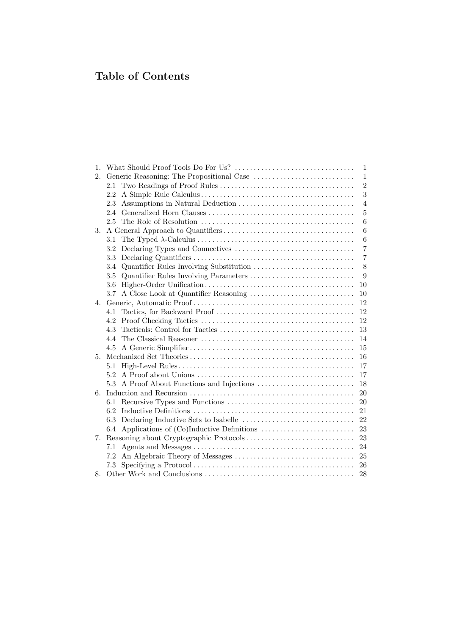# **Table of Contents**

| $1_{-}$        |         | 1              |
|----------------|---------|----------------|
| 2.             |         | $\mathbf{1}$   |
|                | 2.1     | $\overline{2}$ |
|                | 2.2     | 3              |
|                | 2.3     | $\overline{4}$ |
|                | 2.4     | 5              |
|                | $2.5 -$ | 6              |
| 3.             |         | 6              |
|                | 3.1     | 6              |
|                | $3.2\,$ | $\overline{7}$ |
|                | 3.3     | $\overline{7}$ |
|                | 3.4     | 8              |
|                | 3.5     | 9              |
|                | 3.6     | 10             |
|                | 3.7     | 10             |
|                |         | 12             |
|                | 4.1     | 12             |
|                |         | 12             |
|                | 4.3     | -13            |
|                | 4.4     | 14             |
|                | 4.5     | 15             |
| 5 <sub>1</sub> |         | 16             |
|                | 5.1     | 17             |
|                |         | 17             |
|                |         | 18             |
| 6.             |         | 20             |
|                |         | 20             |
|                | 6.2     |                |
|                |         |                |
|                |         |                |
| 7.             |         |                |
|                | 7.1     |                |
|                |         |                |
|                |         |                |
| 8.             |         |                |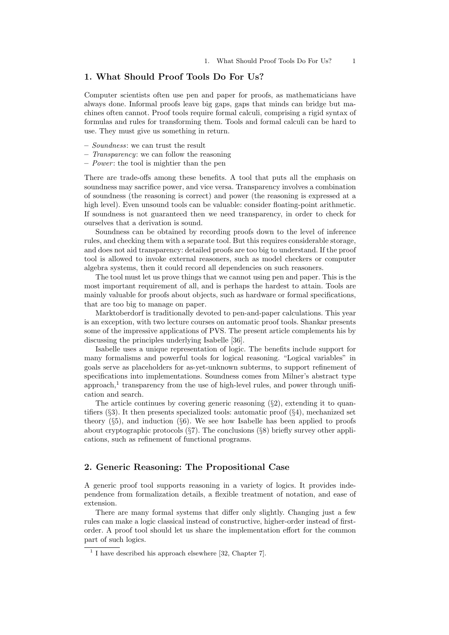## **1. What Should Proof Tools Do For Us?**

Computer scientists often use pen and paper for proofs, as mathematicians have always done. Informal proofs leave big gaps, gaps that minds can bridge but machines often cannot. Proof tools require formal calculi, comprising a rigid syntax of formulas and rules for transforming them. Tools and formal calculi can be hard to use. They must give us something in return.

- **–** Soundness: we can trust the result
- **–** Transparency: we can follow the reasoning
- **–** Power : the tool is mightier than the pen

There are trade-offs among these benefits. A tool that puts all the emphasis on soundness may sacrifice power, and vice versa. Transparency involves a combination of soundness (the reasoning is correct) and power (the reasoning is expressed at a high level). Even unsound tools can be valuable: consider floating-point arithmetic. If soundness is not guaranteed then we need transparency, in order to check for ourselves that a derivation is sound.

Soundness can be obtained by recording proofs down to the level of inference rules, and checking them with a separate tool. But this requires considerable storage, and does not aid transparency: detailed proofs are too big to understand. If the proof tool is allowed to invoke external reasoners, such as model checkers or computer algebra systems, then it could record all dependencies on such reasoners.

The tool must let us prove things that we cannot using pen and paper. This is the most important requirement of all, and is perhaps the hardest to attain. Tools are mainly valuable for proofs about objects, such as hardware or formal specifications, that are too big to manage on paper.

Marktoberdorf is traditionally devoted to pen-and-paper calculations. This year is an exception, with two lecture courses on automatic proof tools. Shankar presents some of the impressive applications of PVS. The present article complements his by discussing the principles underlying Isabelle [36].

Isabelle uses a unique representation of logic. The benefits include support for many formalisms and powerful tools for logical reasoning. "Logical variables" in goals serve as placeholders for as-yet-unknown subterms, to support refinement of specifications into implementations. Soundness comes from Milner's abstract type approach, $\frac{1}{1}$  transparency from the use of high-level rules, and power through unification and search.

The article continues by covering generic reasoning (§2), extending it to quantifiers  $(\S 3)$ . It then presents specialized tools: automatic proof  $(\S 4)$ , mechanized set theory  $(\S_5)$ , and induction  $(\S_6)$ . We see how Isabelle has been applied to proofs about cryptographic protocols  $(\S7)$ . The conclusions  $(\S8)$  briefly survey other applications, such as refinement of functional programs.

## **2. Generic Reasoning: The Propositional Case**

A generic proof tool supports reasoning in a variety of logics. It provides independence from formalization details, a flexible treatment of notation, and ease of extension.

There are many formal systems that differ only slightly. Changing just a few rules can make a logic classical instead of constructive, higher-order instead of firstorder. A proof tool should let us share the implementation effort for the common part of such logics.

 $^{-1}$  I have described his approach elsewhere [32, Chapter 7].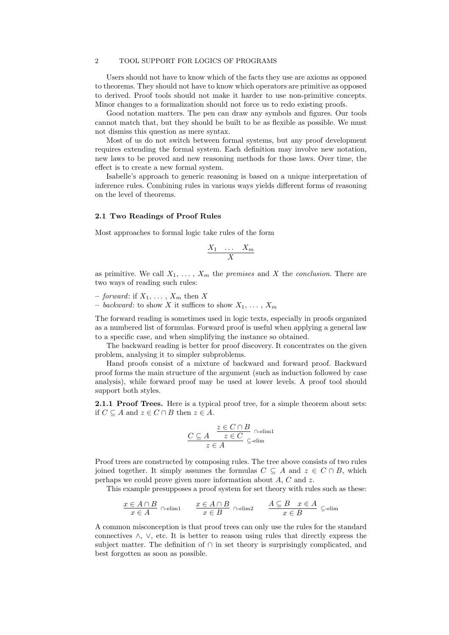Users should not have to know which of the facts they use are axioms as opposed to theorems. They should not have to know which operators are primitive as opposed to derived. Proof tools should not make it harder to use non-primitive concepts. Minor changes to a formalization should not force us to redo existing proofs.

Good notation matters. The pen can draw any symbols and figures. Our tools cannot match that, but they should be built to be as flexible as possible. We must not dismiss this question as mere syntax.

Most of us do not switch between formal systems, but any proof development requires extending the formal system. Each definition may involve new notation, new laws to be proved and new reasoning methods for those laws. Over time, the effect is to create a new formal system.

Isabelle's approach to generic reasoning is based on a unique interpretation of inference rules. Combining rules in various ways yields different forms of reasoning on the level of theorems.

## **2.1 Two Readings of Proof Rules**

Most approaches to formal logic take rules of the form

$$
\frac{X_1 \ldots X_m}{X}
$$

as primitive. We call  $X_1, \ldots, X_m$  the *premises* and *X* the *conclusion*. There are two ways of reading such rules:

 $-$  *forward*: if  $X_1, \ldots, X_m$  then X

 $-$  backward: to show *X* it suffices to show  $X_1, \ldots, X_m$ 

The forward reading is sometimes used in logic texts, especially in proofs organized as a numbered list of formulas. Forward proof is useful when applying a general law to a specific case, and when simplifying the instance so obtained.

The backward reading is better for proof discovery. It concentrates on the given problem, analysing it to simpler subproblems.

Hand proofs consist of a mixture of backward and forward proof. Backward proof forms the main structure of the argument (such as induction followed by case analysis), while forward proof may be used at lower levels. A proof tool should support both styles.

**2.1.1 Proof Trees.** Here is a typical proof tree, for a simple theorem about sets: if  $C \subseteq A$  and  $z \in C \cap B$  then  $z \in A$ .

$$
\underbrace{C \subseteq A \quad z \in C \cap B}_{z \in A} \quad \text{A-elim1}\n \quad \text{A-elim1}\n \quad \text{A-elim2}\n \quad \text{A-elim1}\n \quad \text{B-elim2}\n \quad \text{B-elim2}\n \quad \text{B-elim2}\n \quad \text{B-elim2}\n \quad \text{B-elim2}\n \quad \text{B-elim2}\n \quad \text{B-elim2}\n \quad \text{B-elim2}\n \quad \text{B-elim2}\n \quad \text{C-elim2}\n \quad \text{C-elim2}\n \quad \text{C-elim2}\n \quad \text{C-elim2}\n \quad \text{A-imp2}\n \quad \text{A-imp2}\n \quad \text{A-imp2}\n \quad \text{A-imp2}\n \quad \text{B-imp2}\n \quad \text{B-imp2}\n \quad \text{B-imp2}\n \quad \text{B-imp2}\n \quad \text{B-imp2}\n \quad \text{B-imp2}\n \quad \text{B-imp2}\n \quad \text{B-imp2}\n \quad \text{B-imp2}\n \quad \text{B-imp2}\n \quad \text{B-imp2}\n \quad \text{B-imp2}\n \quad \text{B-imp2}\n \quad \text{B-imp2}\n \quad \text{B-imp2}\n \quad \text{B-imp2}\n \quad \text{B-imp2}\n \quad \text{B-imp2}\n \quad \text{B-imp2}\n \quad \text{B-imp2}\n \quad \text{B-imp2}\n \quad \text{B-imp2}\n \quad \text{B-imp2}\n \quad \text{B-imp2}\n \quad \text{B-imp2}\n \quad \text{B-imp2}\n \quad \text{B-imp2}\n \quad \text{B-imp2}\n \quad \text{B-imp2}\n \quad \text{B-imp2}\n \quad \text{B-imp2}\n \quad \text{B-imp2}\n \quad \text{B-imp2}\n \quad \text{B-imp2}\n \quad \text{B-imp2}\n \quad \text{B-imp2}\n \quad \text{B-imp2}\n \quad \text{B-imp2}\n \quad \text{B-imp2}\n \quad \text{B-imp2}\n \quad \text{B-imp2}\n \quad \text{B-imp2}\n \quad \text{B-imp2}\n \quad \text{B-imp2}\n \quad \text{B-imp2}\n \quad \text{B-imp2}
$$

Proof trees are constructed by composing rules. The tree above consists of two rules joined together. It simply assumes the formulas  $C \subseteq A$  and  $z \in C \cap B$ , which perhaps we could prove given more information about *A*, *C* and *z*.

This example presupposes a proof system for set theory with rules such as these:

$$
\frac{x \in A \cap B}{x \in A} \quad \text{A-elim1} \qquad \frac{x \in A \cap B}{x \in B} \quad \text{A-elim2} \qquad \frac{A \subseteq B \quad x \in A}{x \in B} \subseteq \text{elim}
$$

A common misconception is that proof trees can only use the rules for the standard connectives ∧, ∨, etc. It is better to reason using rules that directly express the subject matter. The definition of  $\cap$  in set theory is surprisingly complicated, and best forgotten as soon as possible.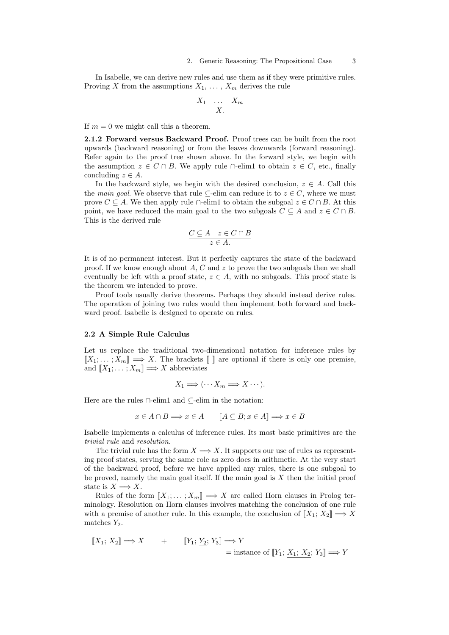In Isabelle, we can derive new rules and use them as if they were primitive rules. Proving *X* from the assumptions  $X_1, \ldots, X_m$  derives the rule

$$
\frac{X_1 \cdots X_m}{X}
$$

If  $m = 0$  we might call this a theorem.

**2.1.2 Forward versus Backward Proof.** Proof trees can be built from the root upwards (backward reasoning) or from the leaves downwards (forward reasoning). Refer again to the proof tree shown above. In the forward style, we begin with the assumption  $z \in C \cap B$ . We apply rule  $\cap$ -elim1 to obtain  $z \in C$ , etc., finally concluding  $z \in A$ .

In the backward style, we begin with the desired conclusion,  $z \in A$ . Call this the main goal. We observe that rule  $\subseteq$ -elim can reduce it to  $z \in C$ , where we must prove  $C \subseteq A$ . We then apply rule  $\cap$ -elim1 to obtain the subgoal  $z \in C \cap B$ . At this point, we have reduced the main goal to the two subgoals  $C \subseteq A$  and  $z \in C \cap B$ . This is the derived rule

$$
\frac{C \subseteq A \quad z \in C \cap B}{z \in A.}
$$

It is of no permanent interest. But it perfectly captures the state of the backward proof. If we know enough about *A*, *C* and *z* to prove the two subgoals then we shall eventually be left with a proof state,  $z \in A$ , with no subgoals. This proof state is the theorem we intended to prove.

Proof tools usually derive theorems. Perhaps they should instead derive rules. The operation of joining two rules would then implement both forward and backward proof. Isabelle is designed to operate on rules.

## **2.2 A Simple Rule Calculus**

Let us replace the traditional two-dimensional notation for inference rules by  $[[X_1; \ldots; X_m]] \Longrightarrow X$ . The brackets  $[[ \; ]]$  are optional if there is only one premise, and  $[X_1; \ldots; X_m] \Longrightarrow X$  abbreviates

$$
X_1 \Longrightarrow (\cdots X_m \Longrightarrow X \cdots).
$$

Here are the rules  $\cap$ -elim1 and  $\subseteq$ -elim in the notation:

$$
x \in A \cap B \Longrightarrow x \in A \qquad [A \subseteq B; x \in A] \Longrightarrow x \in B
$$

Isabelle implements a calculus of inference rules. Its most basic primitives are the trivial rule and resolution.

The trivial rule has the form  $X \Longrightarrow X$ . It supports our use of rules as representing proof states, serving the same role as zero does in arithmetic. At the very start of the backward proof, before we have applied any rules, there is one subgoal to be proved, namely the main goal itself. If the main goal is *X* then the initial proof state is  $X \Longrightarrow X$ .

Rules of the form  $[[X_1; \ldots; X_m]] \Longrightarrow X$  are called Horn clauses in Prolog terminology. Resolution on Horn clauses involves matching the conclusion of one rule with a premise of another rule. In this example, the conclusion of  $[[X_1; X_2]] \Longrightarrow X$ matches  $Y_2$ .

$$
\begin{aligned} [X_1; X_2] \Longrightarrow X &+ \quad [Y_1; \underline{Y_2}; Y_3] \Longrightarrow Y \\ &= \text{instance of } [Y_1; X_1; X_2; Y_3] \Longrightarrow Y \end{aligned}
$$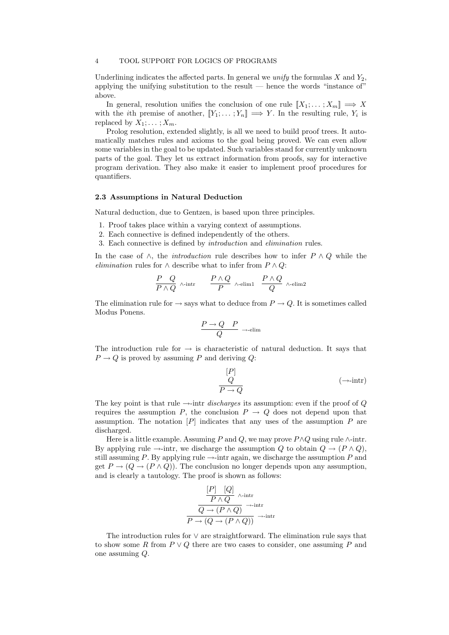Underlining indicates the affected parts. In general we *unify* the formulas  $X$  and  $Y_2$ , applying the unifying substitution to the result — hence the words "instance of" above.

In general, resolution unifies the conclusion of one rule  $[[X_1; \dots; X_m]] \implies X$ with the *i*th premise of another,  $[[Y_1; \ldots; Y_n]] \implies Y$ . In the resulting rule,  $Y_i$  is replaced by  $X_1; \ldots; X_m$ .

Prolog resolution, extended slightly, is all we need to build proof trees. It automatically matches rules and axioms to the goal being proved. We can even allow some variables in the goal to be updated. Such variables stand for currently unknown parts of the goal. They let us extract information from proofs, say for interactive program derivation. They also make it easier to implement proof procedures for quantifiers.

## **2.3 Assumptions in Natural Deduction**

Natural deduction, due to Gentzen, is based upon three principles.

- 1. Proof takes place within a varying context of assumptions.
- 2. Each connective is defined independently of the others.
- 3. Each connective is defined by introduction and elimination rules.

In the case of ∧, the introduction rule describes how to infer *P* ∧ *Q* while the elimination rules for  $\land$  describe what to infer from  $P \land Q$ :

$$
\frac{P\ \ Q}{P\wedge Q}\ \wedge\text{-intr}\qquad \frac{P\wedge Q}{P}\ \wedge\text{-elim1}\quad \frac{P\wedge Q}{Q}\ \wedge\text{-elim2}
$$

The elimination rule for  $\rightarrow$  says what to deduce from  $P \rightarrow Q$ . It is sometimes called Modus Ponens.

$$
\frac{P \to Q \quad P}{Q} \to{\text{-elim}}
$$

The introduction rule for  $\rightarrow$  is characteristic of natural deduction. It says that  $P \rightarrow Q$  is proved by assuming *P* and deriving *Q*:

$$
\begin{array}{c}\n[P] \\
Q \\
P \rightarrow Q\n\end{array} \tag{→intr}
$$

The key point is that rule  $\rightarrow$ -intr *discharges* its assumption: even if the proof of *Q* requires the assumption *P*, the conclusion  $P \rightarrow Q$  does not depend upon that assumption. The notation [*P*] indicates that any uses of the assumption *P* are discharged.

Here is a little example. Assuming *P* and *Q*, we may prove  $P \land Q$  using rule  $\land$ -intr. By applying rule  $\rightarrow$ -intr, we discharge the assumption *Q* to obtain  $Q \rightarrow (P \land Q)$ , still assuming *P*. By applying rule  $\rightarrow$ -intragain, we discharge the assumption *P* and get  $P \to (Q \to (P \wedge Q))$ . The conclusion no longer depends upon any assumption, and is clearly a tautology. The proof is shown as follows:

$$
\frac{[P] \quad [Q]}{P \land Q} \land \text{intr}
$$

$$
\frac{Q \to (P \land Q)}{Q \to (P \land Q)} \to \text{intr}
$$

$$
P \to (Q \to (P \land Q)) \to \text{intr}
$$

The introduction rules for ∨ are straightforward. The elimination rule says that to show some *R* from  $P \vee Q$  there are two cases to consider, one assuming *P* and one assuming *Q*.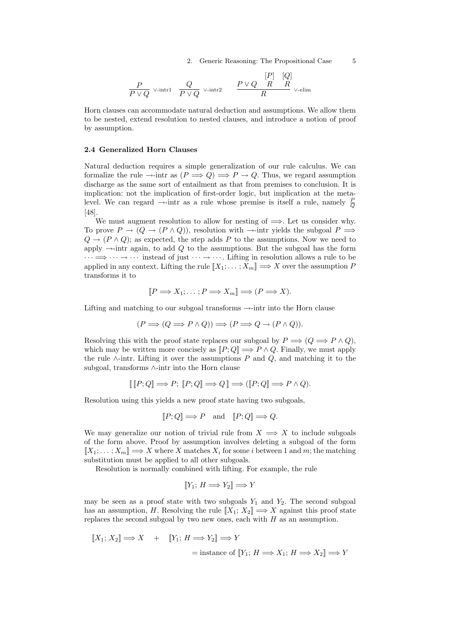2. Generic Reasoning: The Propositional Case 5

$$
\frac{P}{P \vee Q} \vee \text{intr1} \quad \frac{Q}{P \vee Q} \vee \text{intr2} \qquad \frac{P \vee Q \quad R \quad R}{R} \vee \text{elim}
$$

Horn clauses can accommodate natural deduction and assumptions. We allow them to be nested, extend resolution to nested clauses, and introduce a notion of proof by assumption.

#### **2.4 Generalized Horn Clauses**

Natural deduction requires a simple generalization of our rule calculus. We can formalize the rule  $\rightarrow$ -intr as  $(P \Longrightarrow Q) \Longrightarrow P \to Q$ . Thus, we regard assumption discharge as the same sort of entailment as that from premises to conclusion. It is implication: not the implication of first-order logic, but implication at the metalevel. We can regard  $\rightarrow$ -intr as a rule whose premise is itself a rule, namely  $\frac{P}{Q}$ [48].

We must augment resolution to allow for nesting of  $\implies$ . Let us consider why. To prove  $P \to (Q \to (P \wedge Q))$ , resolution with  $\to$ -intr yields the subgoal  $P \implies$  $Q \to (P \wedge Q)$ ; as expected, the step adds *P* to the assumptions. Now we need to apply  $\rightarrow$ -intr again, to add *Q* to the assumptions. But the subgoal has the form  $\cdots \Longrightarrow \cdots \to \cdots$  instead of just  $\cdots \to \cdots$ . Lifting in resolution allows a rule to be applied in any context. Lifting the rule  $[[X_1; \ldots; X_m]] \Longrightarrow X$  over the assumption P transforms it to

$$
[\![P \Longrightarrow X_1; \ldots; P \Longrightarrow X_m]\!] \Longrightarrow (P \Longrightarrow X).
$$

Lifting and matching to our subgoal transforms  $\rightarrow$ -intr into the Horn clause

$$
(P \Longrightarrow (Q \Longrightarrow P \land Q)) \Longrightarrow (P \Longrightarrow Q \to (P \land Q)).
$$

Resolving this with the proof state replaces our subgoal by  $P \Longrightarrow (Q \Longrightarrow P \land Q)$ , which may be written more concisely as  $[P; Q] \implies P \wedge Q$ . Finally, we must apply the rule ∧-intr. Lifting it over the assumptions *P* and *Q*, and matching it to the subgoal, transforms ∧-intr into the Horn clause

$$
\llbracket \, \llbracket P; Q \rrbracket \Longrightarrow P; \, \llbracket P; Q \rrbracket \Longrightarrow Q \rrbracket \Longrightarrow (\llbracket P; Q \rrbracket \Longrightarrow P \land Q).
$$

Resolution using this yields a new proof state having two subgoals,

$$
[P; Q] \Longrightarrow P
$$
 and  $[P; Q] \Longrightarrow Q$ .

We may generalize our notion of trivial rule from  $X \implies X$  to include subgoals of the form above. Proof by assumption involves deleting a subgoal of the form  $[[X_1; \dots; X_m]] \Longrightarrow X$  where *X* matches  $X_i$  for some *i* between 1 and *m*; the matching substitution must be applied to all other subgoals.

Resolution is normally combined with lifting. For example, the rule

$$
\llbracket Y_1; H \Longrightarrow Y_2 \rrbracket \Longrightarrow Y
$$

may be seen as a proof state with two subgoals  $Y_1$  and  $Y_2$ . The second subgoal has an assumption, *H*. Resolving the rule  $[[X_1; X_2]] \Longrightarrow X$  against this proof state replaces the second subgoal by two new ones, each with *H* as an assumption.

$$
\begin{aligned} [X_1; X_2] \Longrightarrow X &+ & [Y_1; H \Longrightarrow Y_2] \Longrightarrow Y \\ &= \text{instance of } [Y_1; H \Longrightarrow X_1; H \Longrightarrow X_2] \Longrightarrow Y \end{aligned}
$$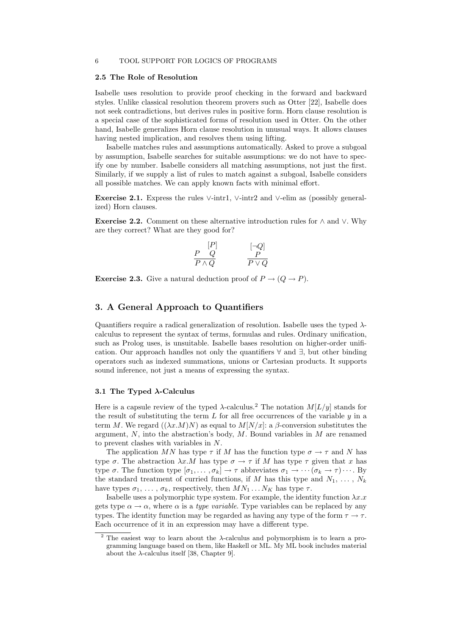## **2.5 The Role of Resolution**

Isabelle uses resolution to provide proof checking in the forward and backward styles. Unlike classical resolution theorem provers such as Otter [22], Isabelle does not seek contradictions, but derives rules in positive form. Horn clause resolution is a special case of the sophisticated forms of resolution used in Otter. On the other hand, Isabelle generalizes Horn clause resolution in unusual ways. It allows clauses having nested implication, and resolves them using lifting.

Isabelle matches rules and assumptions automatically. Asked to prove a subgoal by assumption, Isabelle searches for suitable assumptions: we do not have to specify one by number. Isabelle considers all matching assumptions, not just the first. Similarly, if we supply a list of rules to match against a subgoal, Isabelle considers all possible matches. We can apply known facts with minimal effort.

**Exercise 2.1.** Express the rules ∨-intr1, ∨-intr2 and ∨-elim as (possibly generalized) Horn clauses.

**Exercise 2.2.** Comment on these alternative introduction rules for ∧ and ∨. Why are they correct? What are they good for?

$$
\begin{array}{cc}\nP & -Q \\
P & Q \\
\hline\nP \wedge Q & P\n\end{array}
$$

**Exercise 2.3.** Give a natural deduction proof of  $P \rightarrow (Q \rightarrow P)$ .

## **3. A General Approach to Quantifiers**

Quantifiers require a radical generalization of resolution. Isabelle uses the typed *λ*calculus to represent the syntax of terms, formulas and rules. Ordinary unification, such as Prolog uses, is unsuitable. Isabelle bases resolution on higher-order unification. Our approach handles not only the quantifiers  $\forall$  and  $\exists$ , but other binding operators such as indexed summations, unions or Cartesian products. It supports sound inference, not just a means of expressing the syntax.

## **3.1 The Typed** *λ***-Calculus**

Here is a capsule review of the typed  $\lambda$ -calculus.<sup>2</sup> The notation  $M[L/y]$  stands for the result of substituting the term *L* for all free occurrences of the variable *y* in a term *M*. We regard  $((\lambda x.M)N)$  as equal to  $M[N/x]$ : a  $\beta$ -conversion substitutes the argument, *N*, into the abstraction's body, *M*. Bound variables in *M* are renamed to prevent clashes with variables in *N*.

The application *MN* has type  $\tau$  if *M* has the function type  $\sigma \to \tau$  and *N* has type  $\sigma$ . The abstraction  $\lambda x.M$  has type  $\sigma \to \tau$  if M has type  $\tau$  given that x has type  $\sigma$ . The function type  $[\sigma_1, \ldots, \sigma_k] \to \tau$  abbreviates  $\sigma_1 \to \cdots (\sigma_k \to \tau) \cdots$ . By the standard treatment of curried functions, if *M* has this type and  $N_1, \ldots, N_k$ have types  $\sigma_1, \ldots, \sigma_k$ , respectively, then  $MN_1 \ldots N_K$  has type  $\tau$ .

Isabelle uses a polymorphic type system. For example, the identity function  $\lambda x.x$ gets type  $\alpha \to \alpha$ , where  $\alpha$  is a *type variable*. Type variables can be replaced by any types. The identity function may be regarded as having any type of the form  $\tau \to \tau$ . Each occurrence of it in an expression may have a different type.

<sup>2</sup> The easiest way to learn about the *λ*-calculus and polymorphism is to learn a programming language based on them, like Haskell or ML. My ML book includes material about the *λ*-calculus itself [38, Chapter 9].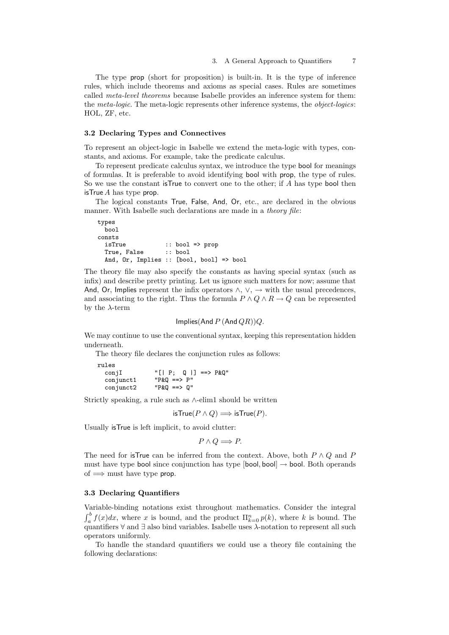The type prop (short for proposition) is built-in. It is the type of inference rules, which include theorems and axioms as special cases. Rules are sometimes called meta-level theorems because Isabelle provides an inference system for them: the meta-logic. The meta-logic represents other inference systems, the object-logics: HOL, ZF, etc.

## **3.2 Declaring Types and Connectives**

To represent an object-logic in Isabelle we extend the meta-logic with types, constants, and axioms. For example, take the predicate calculus.

To represent predicate calculus syntax, we introduce the type bool for meanings of formulas. It is preferable to avoid identifying bool with prop, the type of rules. So we use the constant isTrue to convert one to the other; if *A* has type bool then isTrue *A* has type prop.

The logical constants True, False, And, Or, etc., are declared in the obvious manner. With Isabelle such declarations are made in a *theory file*:

```
types
 bool
consts
 isTrue :: bool => prop
 True, False :: bool
 And, Or, Implies :: [bool, bool] => bool
```
The theory file may also specify the constants as having special syntax (such as infix) and describe pretty printing. Let us ignore such matters for now; assume that And, Or, Implies represent the infix operators  $\land$ ,  $\lor$ ,  $\rightarrow$  with the usual precedences, and associating to the right. Thus the formula  $P \wedge Q \wedge R \rightarrow Q$  can be represented by the *λ*-term

$$
Implies(And P(And QR))Q.
$$

We may continue to use the conventional syntax, keeping this representation hidden underneath.

The theory file declares the conjunction rules as follows:

| rules     |                                     |
|-----------|-------------------------------------|
| conjI     | "[  $P: 0 1 = \Rightarrow P \& Q$ " |
| conjunct1 | $"P&0 ==> P"$                       |
| conjunct2 | $"P&0 ==> 0"$                       |

Strictly speaking, a rule such as ∧-elim1 should be written

$$
\mathsf{isTrue}(P \land Q) \Longrightarrow \mathsf{isTrue}(P).
$$

Usually isTrue is left implicit, to avoid clutter:

$$
P \land Q \Longrightarrow P.
$$

The need for isTrue can be inferred from the context. Above, both  $P \wedge Q$  and  $P$ must have type bool since conjunction has type  $[bool, bool] \rightarrow bool$ . Both operands of  $\implies$  must have type prop.

## **3.3 Declaring Quantifiers**

Variable-binding notations exist throughout mathematics. Consider the integral  $\int_a^b f(x)dx$ , where *x* is bound, and the product  $\Pi_{k=0}^n p(k)$ , where *k* is bound. The quantifiers ∀ and ∃ also bind variables. Isabelle uses *λ*-notation to represent all such operators uniformly.

To handle the standard quantifiers we could use a theory file containing the following declarations: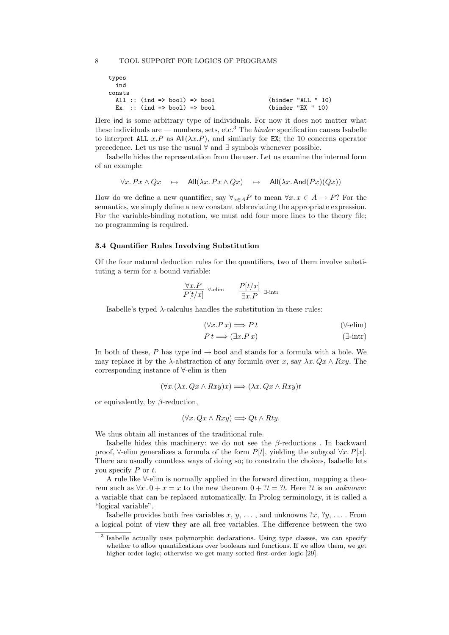| types  |                                                  |                         |
|--------|--------------------------------------------------|-------------------------|
| ind    |                                                  |                         |
| consts |                                                  |                         |
|        | All :: $(ind \Rightarrow bool) \Rightarrow bool$ | $(blinder$ "ALL " $10)$ |
|        | $Ex$ :: (ind => bool) => bool                    | $(blinder$ "EX " $10)$  |

Here ind is some arbitrary type of individuals. For now it does not matter what these individuals are — numbers, sets, etc.<sup>3</sup> The *binder* specification causes Isabelle to interpret ALL  $x.P$  as  $All(\lambda x.P)$ , and similarly for EX; the 10 concerns operator precedence. Let us use the usual ∀ and ∃ symbols whenever possible.

Isabelle hides the representation from the user. Let us examine the internal form of an example:

$$
\forall x. Px \land Qx \quad \mapsto \quad \text{All}(\lambda x. Px \land Qx) \quad \mapsto \quad \text{All}(\lambda x. \text{And}(Px)(Qx))
$$

How do we define a new quantifier, say  $\forall_{x \in A} P$  to mean  $\forall x \in A \rightarrow P$ ? For the semantics, we simply define a new constant abbreviating the appropriate expression. For the variable-binding notation, we must add four more lines to the theory file; no programming is required.

## **3.4 Quantifier Rules Involving Substitution**

Of the four natural deduction rules for the quantifiers, two of them involve substituting a term for a bound variable:

$$
\frac{\forall x.P}{P[t/x]} \ \forall\text{-elim} \qquad \frac{P[t/x]}{\exists x.P} \exists\text{-intr}
$$

Isabelle's typed *λ*-calculus handles the substitution in these rules:

$$
(\forall x. P \, x) \Longrightarrow P \, t \tag{6-elim}
$$

$$
P t \Longrightarrow (\exists x. P x) \tag{3-intr}
$$

In both of these,  $P$  has type ind  $\rightarrow$  bool and stands for a formula with a hole. We may replace it by the *λ*-abstraction of any formula over *x*, say  $\lambda x. Qx \wedge Rxy$ . The corresponding instance of ∀-elim is then

$$
(\forall x.(\lambda x. Qx \land Rxy)x) \Longrightarrow (\lambda x. Qx \land Rxy)t
$$

or equivalently, by *β*-reduction,

$$
(\forall x. Qx \land Rxy) \Longrightarrow Qt \land Rty.
$$

We thus obtain all instances of the traditional rule.

Isabelle hides this machinery: we do not see the *β*-reductions . In backward proof,  $\forall$ -elim generalizes a formula of the form  $P[t]$ , yielding the subgoal  $\forall x \cdot P[x]$ . There are usually countless ways of doing so; to constrain the choices, Isabelle lets you specify *P* or *t*.

A rule like ∀-elim is normally applied in the forward direction, mapping a theorem such as  $\forall x \cdot 0 + x = x$  to the new theorem  $0 + ?t = ?t$ . Here  $?t$  is an unknown: a variable that can be replaced automatically. In Prolog terminology, it is called a "logical variable".

Isabelle provides both free variables  $x, y, \ldots$ , and unknowns  $x, y, \ldots$ . From a logical point of view they are all free variables. The difference between the two

<sup>3</sup> Isabelle actually uses polymorphic declarations. Using type classes, we can specify whether to allow quantifications over booleans and functions. If we allow them, we get higher-order logic; otherwise we get many-sorted first-order logic [29].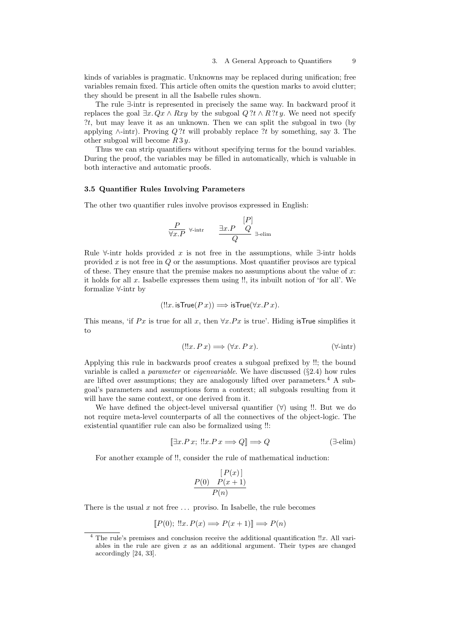kinds of variables is pragmatic. Unknowns may be replaced during unification; free variables remain fixed. This article often omits the question marks to avoid clutter; they should be present in all the Isabelle rules shown.

The rule ∃-intr is represented in precisely the same way. In backward proof it replaces the goal  $\exists x. Qx \land Rxy$  by the subgoal  $Q$  ?*t*  $\land$  *R* ?*t y*. We need not specify ?*t*, but may leave it as an unknown. Then we can split the subgoal in two (by applying ∧-intr). Proving *Q* ?*t* will probably replace ?*t* by something, say 3. The other subgoal will become *R* 3 *y*.

Thus we can strip quantifiers without specifying terms for the bound variables. During the proof, the variables may be filled in automatically, which is valuable in both interactive and automatic proofs.

## **3.5 Quantifier Rules Involving Parameters**

The other two quantifier rules involve provisos expressed in English:

$$
\frac{P}{\forall x.P} \vee \text{-intr} \qquad \frac{\exists x.P \quad Q}{Q} \exists \text{-elim}
$$

Rule  $\forall$ -intr holds provided x is not free in the assumptions, while  $\exists$ -intr holds provided *x* is not free in *Q* or the assumptions. Most quantifier provisos are typical of these. They ensure that the premise makes no assumptions about the value of *x*: it holds for all *x*. Isabelle expresses them using !!, its inbuilt notion of 'for all'. We formalize ∀-intr by

$$
(!!x.\mathop{\sf isTrue}(P\,x))\Longrightarrow \mathop{\sf isTrue}(\forall x.P\,x).
$$

This means, 'if *Px* is true for all *x*, then  $\forall x.Px$  is true'. Hiding isTrue simplifies it to

$$
(!!x.Px) \Longrightarrow (\forall x.Px).
$$
 (\forall-intr)

Applying this rule in backwards proof creates a subgoal prefixed by !!; the bound variable is called a parameter or eigenvariable. We have discussed (§2.4) how rules are lifted over assumptions; they are analogously lifted over parameters.<sup>4</sup> A subgoal's parameters and assumptions form a context; all subgoals resulting from it will have the same context, or one derived from it.

We have defined the object-level universal quantifier  $(\forall)$  using !!. But we do not require meta-level counterparts of all the connectives of the object-logic. The existential quantifier rule can also be formalized using !!:

$$
[\exists x.P \, x; \, \text{!!} x.P \, x \Longrightarrow Q] \Longrightarrow Q \tag{3-elim}
$$

For another example of !!, consider the rule of mathematical induction:

$$
\frac{P(0) \quad P(x \mid)}{P(n)}
$$

There is the usual  $x$  not free  $\dots$  proviso. In Isabelle, the rule becomes

$$
[P(0); \,!!x. P(x) \Longrightarrow P(x+1)] \Longrightarrow P(n)
$$

<sup>4</sup> The rule's premises and conclusion receive the additional quantification !!*x*. All variables in the rule are given  $x$  as an additional argument. Their types are changed accordingly [24, 33].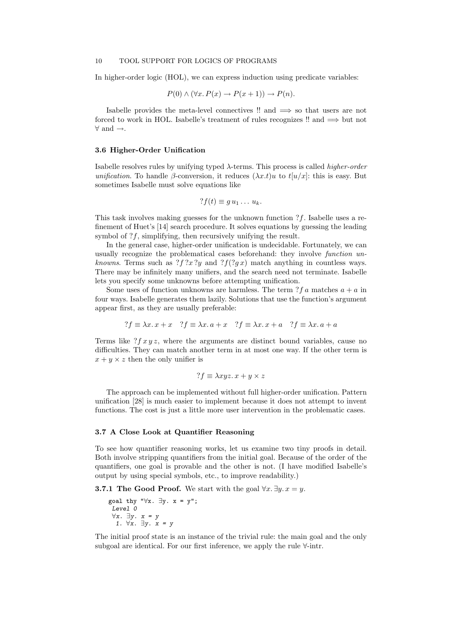In higher-order logic (HOL), we can express induction using predicate variables:

$$
P(0) \land (\forall x. P(x) \to P(x+1)) \to P(n).
$$

Isabelle provides the meta-level connectives  $\mathfrak{L}$  and  $\implies$  so that users are not forced to work in HOL. Isabelle's treatment of rules recognizes !! and  $\implies$  but not  $\forall$  and  $\rightarrow$ .

## **3.6 Higher-Order Unification**

Isabelle resolves rules by unifying typed *λ*-terms. This process is called higher-order unification. To handle *β*-conversion, it reduces  $(\lambda x.t)u$  to  $t[u/x]$ : this is easy. But sometimes Isabelle must solve equations like

$$
?f(t) \equiv g u_1 \ldots u_k.
$$

This task involves making guesses for the unknown function ?*f*. Isabelle uses a refinement of Huet's [14] search procedure. It solves equations by guessing the leading symbol of ?*f*, simplifying, then recursively unifying the result.

In the general case, higher-order unification is undecidable. Fortunately, we can usually recognize the problematical cases beforehand: they involve function unknowns. Terms such as  $?f ?x ?y$  and  $?f (?gx)$  match anything in countless ways. There may be infinitely many unifiers, and the search need not terminate. Isabelle lets you specify some unknowns before attempting unification.

Some uses of function unknowns are harmless. The term  $?f a$  matches  $a + a$  in four ways. Isabelle generates them lazily. Solutions that use the function's argument appear first, as they are usually preferable:

$$
?f \equiv \lambda x. x + x \quad ?f \equiv \lambda x. a + x \quad ?f \equiv \lambda x. x + a \quad ?f \equiv \lambda x. a + a
$$

Terms like  $?fxyz$ , where the arguments are distinct bound variables, cause no difficulties. They can match another term in at most one way. If the other term is  $x + y \times z$  then the only unifier is

$$
?f \equiv \lambda xyz. x + y \times z
$$

The approach can be implemented without full higher-order unification. Pattern unification [28] is much easier to implement because it does not attempt to invent functions. The cost is just a little more user intervention in the problematic cases.

#### **3.7 A Close Look at Quantifier Reasoning**

To see how quantifier reasoning works, let us examine two tiny proofs in detail. Both involve stripping quantifiers from the initial goal. Because of the order of the quantifiers, one goal is provable and the other is not. (I have modified Isabelle's output by using special symbols, etc., to improve readability.)

**3.7.1 The Good Proof.** We start with the goal  $\forall x \cdot \exists y \cdot x = y$ .

```
goal thy "\forall x. \exists y. x = y";
 Level 0
 ∀x. ∃y. x = y
   1. \forall x. \exists y. \ x = y
```
The initial proof state is an instance of the trivial rule: the main goal and the only subgoal are identical. For our first inference, we apply the rule ∀-intr.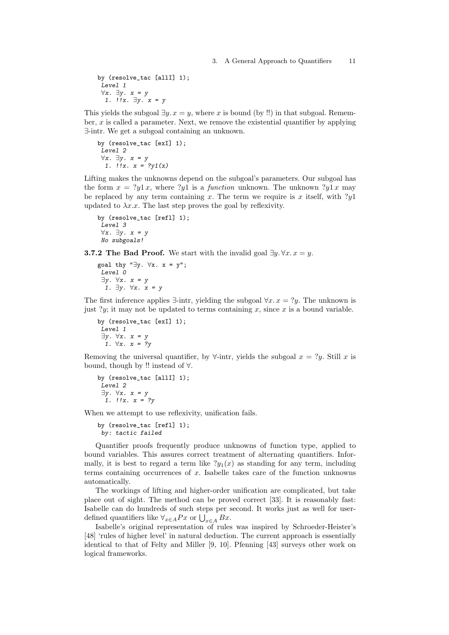```
by (resolve_tac [allI] 1);
 Level 1
 ∀x. ∃y. x = y
  1. 1 \cdot x \cdot \exists y \cdot x = y
```
This yields the subgoal  $\exists y \cdot x = y$ , where *x* is bound (by !!) in that subgoal. Remember, *x* is called a parameter. Next, we remove the existential quantifier by applying ∃-intr. We get a subgoal containing an unknown.

```
by (resolve_tac [exI] 1);
 Level 2
 ∀x. ∃y. x = y
  1. ! \, x \cdot x = ? \, y \cdot 1 \, (x)
```
Lifting makes the unknowns depend on the subgoal's parameters. Our subgoal has the form  $x = ?y1x$ , where  $?y1$  is a *function* unknown. The unknown  $?y1x$  may be replaced by any term containing x. The term we require is x itself, with  $?y1$ updated to  $\lambda x.x$ . The last step proves the goal by reflexivity.

```
by (resolve_tac [refl] 1);
Level 3
∀x. ∃y. x = y
No subgoals!
```
**3.7.2 The Bad Proof.** We start with the invalid goal  $\exists y.\forall x. x = y$ .

goal thy " $\exists y. \forall x. x = v$ "; Level 0 ∃y. ∀x. x = y 1. ∃y. ∀x. x = y

The first inference applies  $\exists$ -intr, yielding the subgoal  $\forall x. x = ?y$ . The unknown is just ?*y*; it may not be updated to terms containing *x*, since *x* is a bound variable.

```
by (resolve_tac [exI] 1);
IN<sup>1</sup> 1
 ∃y. ∀x. x = y
  1. ∀x. x = ?y
```
Removing the universal quantifier, by  $\forall$ -intr, yields the subgoal  $x = ?y$ . Still x is bound, though by !! instead of ∀.

```
by (resolve_tac [allI] 1);
Level 2
 ∃y. ∀x. x = y
  1. ! \, ! \, x. \, x = ? \, y
```
When we attempt to use reflexivity, unification fails.

```
by (resolve_tac [refl] 1);
by: tactic failed
```
Quantifier proofs frequently produce unknowns of function type, applied to bound variables. This assures correct treatment of alternating quantifiers. Informally, it is best to regard a term like  $?y_1(x)$  as standing for any term, including terms containing occurrences of *x*. Isabelle takes care of the function unknowns automatically.

The workings of lifting and higher-order unification are complicated, but take place out of sight. The method can be proved correct [33]. It is reasonably fast: Isabelle can do hundreds of such steps per second. It works just as well for userdefined quantifiers like  $\forall_{x \in A} Px$  or  $\bigcup_{x \in A} Bx$ .

Isabelle's original representation of rules was inspired by Schroeder-Heister's [48] 'rules of higher level' in natural deduction. The current approach is essentially identical to that of Felty and Miller [9, 10]. Pfenning [43] surveys other work on logical frameworks.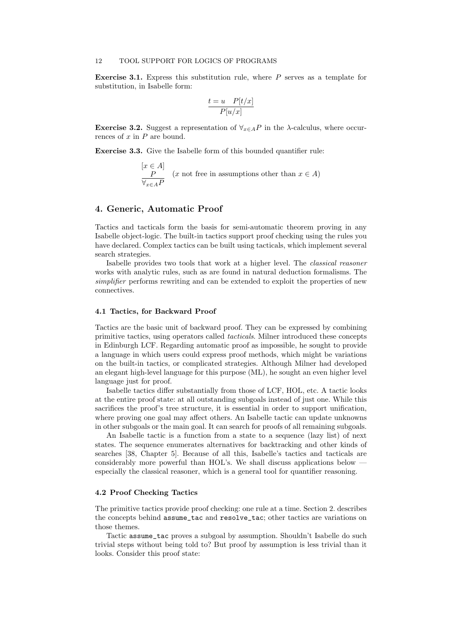**Exercise 3.1.** Express this substitution rule, where *P* serves as a template for substitution, in Isabelle form:

$$
\frac{t = u \quad P[t/x]}{P[u/x]}
$$

**Exercise 3.2.** Suggest a representation of  $\forall_{x \in A} P$  in the *λ*-calculus, where occurrences of *x* in *P* are bound.

**Exercise 3.3.** Give the Isabelle form of this bounded quantifier rule:

$$
\frac{[x \in A]}{P} \quad (x \text{ not free in assumptions other than } x \in A)
$$

## **4. Generic, Automatic Proof**

Tactics and tacticals form the basis for semi-automatic theorem proving in any Isabelle object-logic. The built-in tactics support proof checking using the rules you have declared. Complex tactics can be built using tacticals, which implement several search strategies.

Isabelle provides two tools that work at a higher level. The classical reasoner works with analytic rules, such as are found in natural deduction formalisms. The simplifier performs rewriting and can be extended to exploit the properties of new connectives.

## **4.1 Tactics, for Backward Proof**

Tactics are the basic unit of backward proof. They can be expressed by combining primitive tactics, using operators called tacticals. Milner introduced these concepts in Edinburgh LCF. Regarding automatic proof as impossible, he sought to provide a language in which users could express proof methods, which might be variations on the built-in tactics, or complicated strategies. Although Milner had developed an elegant high-level language for this purpose (ML), he sought an even higher level language just for proof.

Isabelle tactics differ substantially from those of LCF, HOL, etc. A tactic looks at the entire proof state: at all outstanding subgoals instead of just one. While this sacrifices the proof's tree structure, it is essential in order to support unification, where proving one goal may affect others. An Isabelle tactic can update unknowns in other subgoals or the main goal. It can search for proofs of all remaining subgoals.

An Isabelle tactic is a function from a state to a sequence (lazy list) of next states. The sequence enumerates alternatives for backtracking and other kinds of searches [38, Chapter 5]. Because of all this, Isabelle's tactics and tacticals are considerably more powerful than HOL's. We shall discuss applications below especially the classical reasoner, which is a general tool for quantifier reasoning.

## **4.2 Proof Checking Tactics**

The primitive tactics provide proof checking: one rule at a time. Section 2. describes the concepts behind assume\_tac and resolve\_tac; other tactics are variations on those themes.

Tactic assume\_tac proves a subgoal by assumption. Shouldn't Isabelle do such trivial steps without being told to? But proof by assumption is less trivial than it looks. Consider this proof state: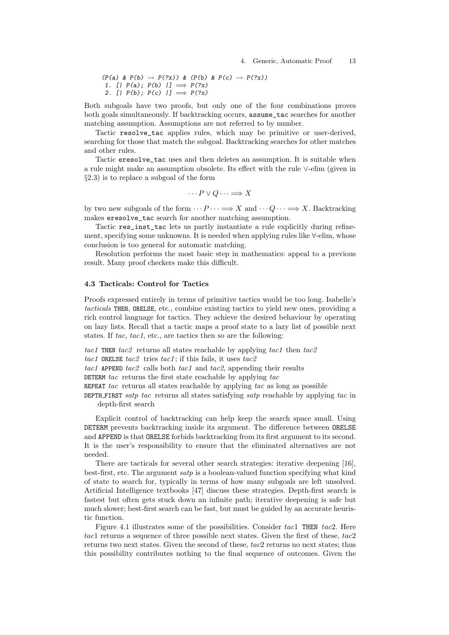$(P(a) \& P(b) \rightarrow P(?x)) \& (P(b) \& P(c) \rightarrow P(?x))$ 1. [|  $P(a)$ ;  $P(b)$  |]  $\implies P(?x)$ 2.  $[| P(b); P(c) |] \implies P(?x)$ 

Both subgoals have two proofs, but only one of the four combinations proves both goals simultaneously. If backtracking occurs, assume\_tac searches for another matching assumption. Assumptions are not referred to by number.

Tactic resolve\_tac applies rules, which may be primitive or user-derived, searching for those that match the subgoal. Backtracking searches for other matches and other rules.

Tactic eresolve\_tac uses and then deletes an assumption. It is suitable when a rule might make an assumption obsolete. Its effect with the rule ∨-elim (given in §2.3) is to replace a subgoal of the form

$$
\cdots P \vee Q \cdots \Longrightarrow X
$$

by two new subgoals of the form  $\cdots P \cdots \Longrightarrow X$  and  $\cdots Q \cdots \Longrightarrow X$ . Backtracking makes eresolve\_tac search for another matching assumption.

Tactic res\_inst\_tac lets us partly instantiate a rule explicitly during refinement, specifying some unknowns. It is needed when applying rules like ∀-elim, whose conclusion is too general for automatic matching.

Resolution performs the most basic step in mathematics: appeal to a previous result. Many proof checkers make this difficult.

## **4.3 Tacticals: Control for Tactics**

Proofs expressed entirely in terms of primitive tactics would be too long. Isabelle's tacticals THEN, ORELSE, etc., combine existing tactics to yield new ones, providing a rich control language for tactics. They achieve the desired behaviour by operating on lazy lists. Recall that a tactic maps a proof state to a lazy list of possible next states. If tac, tac1, etc., are tactics then so are the following:

tac1 THEN tac2 returns all states reachable by applying tac1 then  $tac2$ 

tac1 ORELSE tac2 tries tac1; if this fails, it uses tac2

tac1 APPEND tac2 calls both tac1 and tac2, appending their results

DETERM  $tac$  returns the first state reachable by applying  $tac$ 

REPEAT tac returns all states reachable by applying tac as long as possible

DEPTH\_FIRST satp tac returns all states satisfying satp reachable by applying tac in depth-first search

Explicit control of backtracking can help keep the search space small. Using DETERM prevents backtracking inside its argument. The difference between ORELSE and APPEND is that ORELSE forbids backtracking from its first argument to its second. It is the user's responsibility to ensure that the eliminated alternatives are not needed.

There are tacticals for several other search strategies: iterative deepening [16], best-first, etc. The argument satp is a boolean-valued function specifying what kind of state to search for, typically in terms of how many subgoals are left unsolved. Artificial Intelligence textbooks [47] discuss these strategies. Depth-first search is fastest but often gets stuck down an infinite path; iterative deepening is safe but much slower; best-first search can be fast, but must be guided by an accurate heuristic function.

Figure 4.1 illustrates some of the possibilities. Consider *tac*1 THEN *tac*2. Here *tac*1 returns a sequence of three possible next states. Given the first of these, *tac*2 returns two next states. Given the second of these, *tac*2 returns no next states; thus this possibility contributes nothing to the final sequence of outcomes. Given the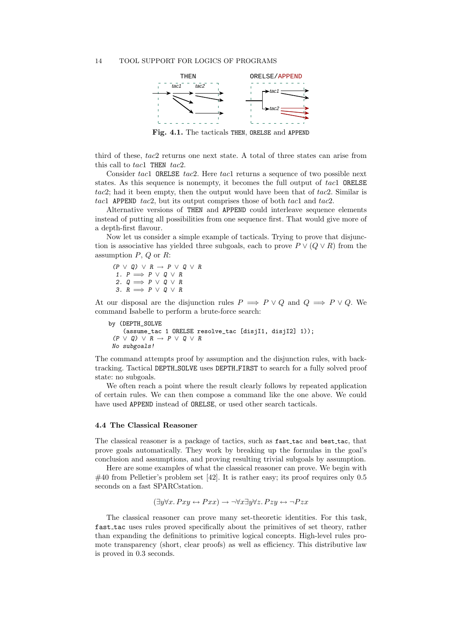

**Fig. 4.1.** The tacticals THEN, ORELSE and APPEND

third of these, *tac*2 returns one next state. A total of three states can arise from this call to *tac*1 THEN *tac*2.

Consider *tac*1 ORELSE *tac*2. Here *tac*1 returns a sequence of two possible next states. As this sequence is nonempty, it becomes the full output of *tac*1 ORELSE *tac*2; had it been empty, then the output would have been that of *tac*2. Similar is *tac*1 APPEND *tac*2, but its output comprises those of both *tac*1 and *tac*2.

Alternative versions of THEN and APPEND could interleave sequence elements instead of putting all possibilities from one sequence first. That would give more of a depth-first flavour.

Now let us consider a simple example of tacticals. Trying to prove that disjunction is associative has yielded three subgoals, each to prove  $P \vee (Q \vee R)$  from the assumption *P*, *Q* or *R*:

 $(P \vee Q) \vee R \rightarrow P \vee Q \vee R$ 1.  $P \implies P \lor Q \lor R$ 2.  $Q \implies P \lor Q \lor R$ 3.  $R \implies P \lor Q \lor R$ 

At our disposal are the disjunction rules  $P \implies P \vee Q$  and  $Q \implies P \vee Q$ . We command Isabelle to perform a brute-force search:

```
by (DEPTH_SOLVE
    (assume_tac 1 ORELSE resolve_tac [disjI1, disjI2] 1));
 (P \vee Q) \vee R \rightarrow P \vee Q \vee RNo subgoals!
```
The command attempts proof by assumption and the disjunction rules, with backtracking. Tactical DEPTH SOLVE uses DEPTH FIRST to search for a fully solved proof state: no subgoals.

We often reach a point where the result clearly follows by repeated application of certain rules. We can then compose a command like the one above. We could have used APPEND instead of ORELSE, or used other search tacticals.

#### **4.4 The Classical Reasoner**

The classical reasoner is a package of tactics, such as fast tac and best tac, that prove goals automatically. They work by breaking up the formulas in the goal's conclusion and assumptions, and proving resulting trivial subgoals by assumption.

Here are some examples of what the classical reasoner can prove. We begin with  $\#40$  from Pelletier's problem set [42]. It is rather easy; its proof requires only 0.5 seconds on a fast SPARCstation.

$$
(\exists y \forall x. \, Pxy \leftrightarrow Pxx) \rightarrow \neg \forall x \exists y \forall z. \, Pzy \leftrightarrow \neg Pzx
$$

The classical reasoner can prove many set-theoretic identities. For this task, fast tac uses rules proved specifically about the primitives of set theory, rather than expanding the definitions to primitive logical concepts. High-level rules promote transparency (short, clear proofs) as well as efficiency. This distributive law is proved in 0.3 seconds.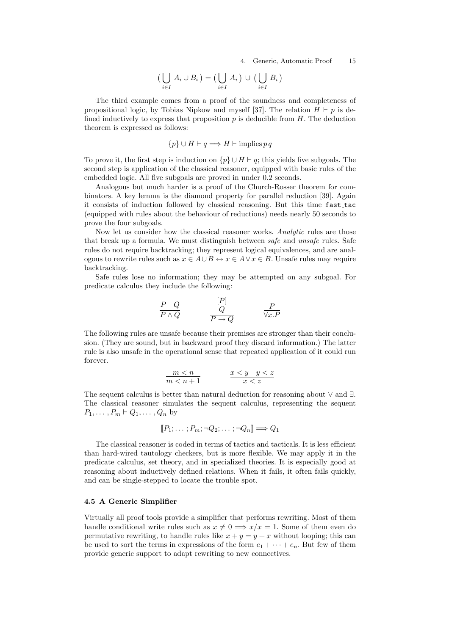$$
\left(\bigcup_{i\in I} A_i \cup B_i\right) = \left(\bigcup_{i\in I} A_i\right) \cup \left(\bigcup_{i\in I} B_i\right)
$$

The third example comes from a proof of the soundness and completeness of propositional logic, by Tobias Nipkow and myself [37]. The relation  $H \vdash p$  is defined inductively to express that proposition  $p$  is deducible from  $H$ . The deduction theorem is expressed as follows:

$$
\{p\} \cup H \vdash q \Longrightarrow H \vdash \text{implies } p \, q
$$

To prove it, the first step is induction on  $\{p\} \cup H \vdash q$ ; this yields five subgoals. The second step is application of the classical reasoner, equipped with basic rules of the embedded logic. All five subgoals are proved in under 0.2 seconds.

Analogous but much harder is a proof of the Church-Rosser theorem for combinators. A key lemma is the diamond property for parallel reduction [39]. Again it consists of induction followed by classical reasoning. But this time fast tac (equipped with rules about the behaviour of reductions) needs nearly 50 seconds to prove the four subgoals.

Now let us consider how the classical reasoner works. Analytic rules are those that break up a formula. We must distinguish between safe and unsafe rules. Safe rules do not require backtracking; they represent logical equivalences, and are analogous to rewrite rules such as  $x \in A \cup B \leftrightarrow x \in A \lor x \in B$ . Unsafe rules may require backtracking.

Safe rules lose no information; they may be attempted on any subgoal. For predicate calculus they include the following:

$$
\frac{P \ Q}{P \wedge Q} \qquad \qquad \frac{[P]}{P \to Q} \qquad \qquad \frac{P}{\forall x.P}
$$

The following rules are unsafe because their premises are stronger than their conclusion. (They are sound, but in backward proof they discard information.) The latter rule is also unsafe in the operational sense that repeated application of it could run forever.

$$
\frac{m < n}{m < n + 1} \qquad \qquad \frac{x < y \quad y < z}{x < z}
$$

The sequent calculus is better than natural deduction for reasoning about ∨ and ∃. The classical reasoner simulates the sequent calculus, representing the sequent  $P_1, \ldots, P_m \vdash Q_1, \ldots, Q_n$  by

$$
[\![P_1;\ldots;P_m;\neg Q_2;\ldots;\neg Q_n]\!]\Longrightarrow Q_1
$$

The classical reasoner is coded in terms of tactics and tacticals. It is less efficient than hard-wired tautology checkers, but is more flexible. We may apply it in the predicate calculus, set theory, and in specialized theories. It is especially good at reasoning about inductively defined relations. When it fails, it often fails quickly, and can be single-stepped to locate the trouble spot.

#### **4.5 A Generic Simplifier**

Virtually all proof tools provide a simplifier that performs rewriting. Most of them handle conditional write rules such as  $x \neq 0 \implies x/x = 1$ . Some of them even do permutative rewriting, to handle rules like  $x + y = y + x$  without looping; this can be used to sort the terms in expressions of the form  $e_1 + \cdots + e_n$ . But few of them provide generic support to adapt rewriting to new connectives.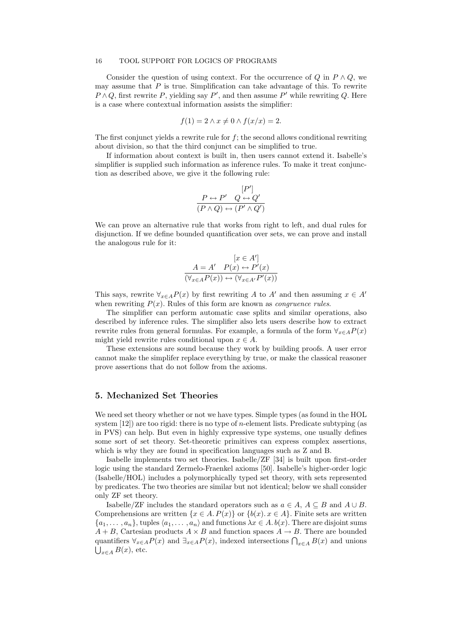Consider the question of using context. For the occurrence of  $Q$  in  $P \wedge Q$ , we may assume that *P* is true. Simplification can take advantage of this. To rewrite  $P \wedge Q$ , first rewrite *P*, yielding say *P*<sup>*i*</sup>, and then assume *P<sup><i>i*</sup> while rewriting *Q*. Here is a case where contextual information assists the simplifier:

$$
f(1) = 2 \wedge x \neq 0 \wedge f(x/x) = 2.
$$

The first conjunct yields a rewrite rule for *f*; the second allows conditional rewriting about division, so that the third conjunct can be simplified to true.

If information about context is built in, then users cannot extend it. Isabelle's simplifier is supplied such information as inference rules. To make it treat conjunction as described above, we give it the following rule:

$$
P \leftrightarrow P' \quad Q \leftrightarrow Q'
$$
  

$$
(P \land Q) \leftrightarrow (P' \land Q')
$$

We can prove an alternative rule that works from right to left, and dual rules for disjunction. If we define bounded quantification over sets, we can prove and install the analogous rule for it:

$$
[x \in A']
$$
  
\n
$$
A = A' \quad P(x) \leftrightarrow P'(x)
$$
  
\n
$$
(\forall_{x \in A} P(x)) \leftrightarrow (\forall_{x \in A'} P'(x))
$$

This says, rewrite  $\forall_{x \in A} P(x)$  by first rewriting *A* to *A'* and then assuming  $x \in A'$ when rewriting  $P(x)$ . Rules of this form are known as *congruence rules*.

The simplifier can perform automatic case splits and similar operations, also described by inference rules. The simplifier also lets users describe how to extract rewrite rules from general formulas. For example, a formula of the form  $\forall_{x \in A} P(x)$ might yield rewrite rules conditional upon  $x \in A$ .

These extensions are sound because they work by building proofs. A user error cannot make the simplifer replace everything by true, or make the classical reasoner prove assertions that do not follow from the axioms.

## **5. Mechanized Set Theories**

We need set theory whether or not we have types. Simple types (as found in the HOL system [12]) are too rigid: there is no type of *n*-element lists. Predicate subtyping (as in PVS) can help. But even in highly expressive type systems, one usually defines some sort of set theory. Set-theoretic primitives can express complex assertions, which is why they are found in specification languages such as Z and B.

Isabelle implements two set theories. Isabelle/ZF [34] is built upon first-order logic using the standard Zermelo-Fraenkel axioms [50]. Isabelle's higher-order logic (Isabelle/HOL) includes a polymorphically typed set theory, with sets represented by predicates. The two theories are similar but not identical; below we shall consider only ZF set theory.

Isabelle/ZF includes the standard operators such as  $a \in A$ ,  $A \subseteq B$  and  $A \cup B$ . Comprehensions are written  $\{x \in A, P(x)\}$  or  $\{b(x), x \in A\}$ . Finite sets are written  $\{a_1, \ldots, a_n\}$ , tuples  $\langle a_1, \ldots, a_n \rangle$  and functions  $\lambda x \in A$ .  $b(x)$ . There are disjoint sums  $A + B$ , Cartesian products  $A \times B$  and function spaces  $A \rightarrow B$ . There are bounded quantifiers  $\forall_{x \in A} P(x)$  and  $\exists_{x \in A} P(x)$ , indexed intersections  $\bigcap_{x \in A} B(x)$  and unions  $\bigcup_{x \in A} B(x)$ , etc.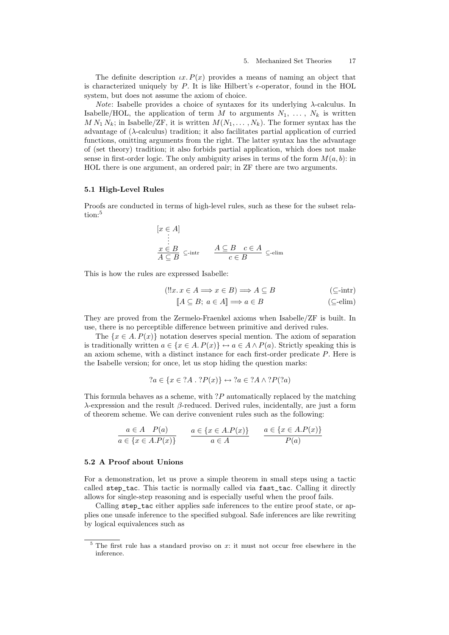The definite description  $\iota x. P(x)$  provides a means of naming an object that is characterized uniquely by  $P$ . It is like Hilbert's  $\epsilon$ -operator, found in the HOL system, but does not assume the axiom of choice.

Note: Isabelle provides a choice of syntaxes for its underlying *λ*-calculus. In Isabelle/HOL, the application of term *M* to arguments  $N_1, \ldots, N_k$  is written *M*  $N_1$   $N_k$ ; in Isabelle/ZF, it is written  $M(N_1, \ldots, N_k)$ . The former syntax has the advantage of (*λ*-calculus) tradition; it also facilitates partial application of curried functions, omitting arguments from the right. The latter syntax has the advantage of (set theory) tradition; it also forbids partial application, which does not make sense in first-order logic. The only ambiguity arises in terms of the form  $M(a, b)$ : in HOL there is one argument, an ordered pair; in ZF there are two arguments.

#### **5.1 High-Level Rules**

Proofs are conducted in terms of high-level rules, such as these for the subset relation:<sup>5</sup>

$$
\begin{array}{ll}\n[x \in A] \\
\vdots \\
x \in B \\
\hline\nA \subseteq B \subseteq \text{-intr} \\
\end{array}\n\quad\n\begin{array}{ll}\nA \subseteq B & c \in A \\
\hline\nC \in B \subseteq \text{-elim}\n\end{array}
$$

This is how the rules are expressed Isabelle:

$$
(!!x \ldots x \in A \Longrightarrow x \in B) \Longrightarrow A \subseteq B \tag{C-int}
$$

$$
[A \subseteq B; a \in A] \Longrightarrow a \in B \tag{C-elim}
$$

They are proved from the Zermelo-Fraenkel axioms when Isabelle/ZF is built. In use, there is no perceptible difference between primitive and derived rules.

The  $\{x \in A, P(x)\}\$  notation deserves special mention. The axiom of separation is traditionally written  $a \in \{x \in A, P(x)\} \leftrightarrow a \in A \wedge P(a)$ . Strictly speaking this is an axiom scheme, with a distinct instance for each first-order predicate *P*. Here is the Isabelle version; for once, let us stop hiding the question marks:

$$
?a \in \{x \in ?A : ?P(x)\} \leftrightarrow ?a \in ?A \land ?P(?a)
$$

This formula behaves as a scheme, with ?*P* automatically replaced by the matching *λ*-expression and the result *β*-reduced. Derived rules, incidentally, are just a form of theorem scheme. We can derive convenient rules such as the following:

$$
\frac{a \in A \quad P(a)}{a \in \{x \in A.P(x)\}} \qquad \frac{a \in \{x \in A.P(x)\}}{a \in A} \qquad \frac{a \in \{x \in A.P(x)\}}{P(a)}
$$

#### **5.2 A Proof about Unions**

For a demonstration, let us prove a simple theorem in small steps using a tactic called step\_tac. This tactic is normally called via fast\_tac. Calling it directly allows for single-step reasoning and is especially useful when the proof fails.

Calling step\_tac either applies safe inferences to the entire proof state, or applies one unsafe inference to the specified subgoal. Safe inferences are like rewriting by logical equivalences such as

<sup>5</sup> The first rule has a standard proviso on *x*: it must not occur free elsewhere in the inference.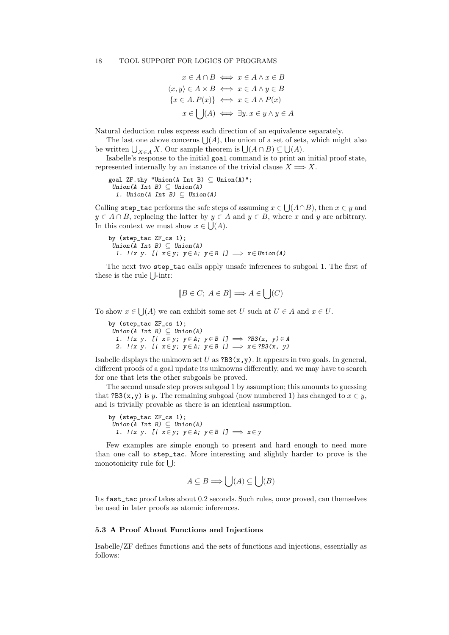$$
x \in A \cap B \iff x \in A \land x \in B
$$

$$
\langle x, y \rangle \in A \times B \iff x \in A \land y \in B
$$

$$
\{x \in A. P(x)\} \iff x \in A \land P(x)
$$

$$
x \in \bigcup (A) \iff \exists y. x \in y \land y \in A
$$

Natural deduction rules express each direction of an equivalence separately.

The last one above concerns  $\bigcup(A)$ , the union of a set of sets, which might also be written  $\bigcup_{X \in A} X$ . Our sample theorem is  $\bigcup (A \cap B) \subseteq \bigcup (A)$ .

Isabelle's response to the initial goal command is to print an initial proof state, represented internally by an instance of the trivial clause  $X \Longrightarrow X$ .

goal ZF.thy "Union(A Int B)  $\subset$  Union(A)"; Union(A  $Int B$ )  $\subseteq$  Union(A) 1. Union(A Int B)  $\subseteq$  Union(A)

Calling step\_tac performs the safe steps of assuming  $x \in \bigcup (A \cap B)$ , then  $x \in y$  and *y* ∈ *A* ∩ *B*, replacing the latter by *y* ∈ *A* and *y* ∈ *B*, where *x* and *y* are arbitrary. In this context we must show  $x \in \bigcup (A)$ .

by (step\_tac ZF\_cs 1);  $Union(A \text{ Int } B) \subseteq Union(A)$ 1. !!x y. [|  $x \in y$ ;  $y \in A$ ;  $y \in B$  |]  $\implies x \in Union(A)$ 

The next two step\_tac calls apply unsafe inferences to subgoal 1. The first of these is the rule  $\vert$  -intr:

$$
[B \in C; A \in B] \Longrightarrow A \in [C]
$$

To show  $x \in \mathcal{A}$  (*A*) we can exhibit some set *U* such at  $U \in A$  and  $x \in U$ .

by (step\_tac ZF\_cs 1); Union(A Int B)  $\subseteq$  Union(A) 1. !!x y. [|  $x \in y$ ;  $y \in A$ ;  $y \in B$  |]  $\implies$  ?B3(x,  $y$ )  $\in A$ 2. !!x y. [|  $x \in y$ ;  $y \in A$ ;  $y \in B$  |]  $\implies x \in ?B3(x, y)$ 

Isabelle displays the unknown set *U* as  $?B3(x,y)$ . It appears in two goals. In general, different proofs of a goal update its unknowns differently, and we may have to search for one that lets the other subgoals be proved.

The second unsafe step proves subgoal 1 by assumption; this amounts to guessing that ?B3( $x, y$ ) is *y*. The remaining subgoal (now numbered 1) has changed to  $x \in y$ , and is trivially provable as there is an identical assumption.

by (step\_tac ZF\_cs 1); Union( $A$  Int  $B$ )  $\subseteq$  Union( $A$ ) 1. !!x y. [|  $x \in y$ ;  $y \in A$ ;  $y \in B$  |]  $\implies x \in y$ 

Few examples are simple enough to present and hard enough to need more than one call to step\_tac. More interesting and slightly harder to prove is the monotonicity rule for  $\bigcup$ :

$$
A \subseteq B \Longrightarrow \bigcup (A) \subseteq \bigcup (B)
$$

Its fast\_tac proof takes about 0.2 seconds. Such rules, once proved, can themselves be used in later proofs as atomic inferences.

## **5.3 A Proof About Functions and Injections**

Isabelle/ZF defines functions and the sets of functions and injections, essentially as follows: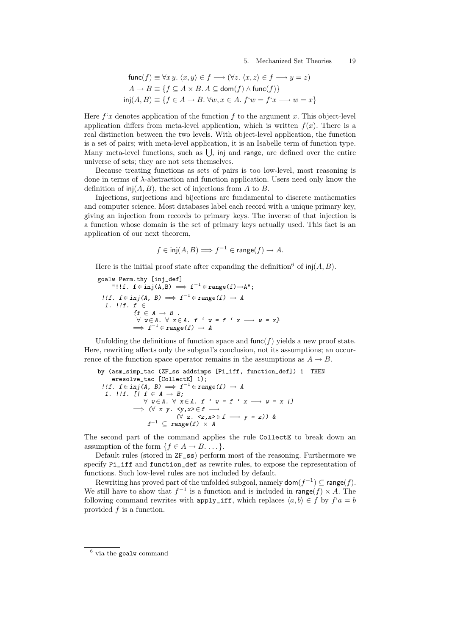$$
\begin{aligned}\n\text{func}(f) &\equiv \forall x \, y. \langle x, y \rangle \in f \longrightarrow (\forall z. \langle x, z \rangle \in f \longrightarrow y = z) \\
A \rightarrow B &\equiv \{ f \subseteq A \times B. \, A \subseteq \text{dom}(f) \land \text{func}(f) \} \\
\text{inj}(A, B) &\equiv \{ f \in A \rightarrow B. \, \forall w, x \in A. \, f^*w = f^*x \longrightarrow w = x \}\n\end{aligned}
$$

Here  $f^{\dagger}x$  denotes application of the function  $f$  to the argument  $x$ . This object-level application differs from meta-level application, which is written  $f(x)$ . There is a real distinction between the two levels. With object-level application, the function is a set of pairs; with meta-level application, it is an Isabelle term of function type. Many meta-level functions, such as  $\bigcup$ , inj and range, are defined over the entire universe of sets; they are not sets themselves.

Because treating functions as sets of pairs is too low-level, most reasoning is done in terms of *λ*-abstraction and function application. Users need only know the definition of inj(*A, B*), the set of injections from *A* to *B*.

Injections, surjections and bijections are fundamental to discrete mathematics and computer science. Most databases label each record with a unique primary key, giving an injection from records to primary keys. The inverse of that injection is a function whose domain is the set of primary keys actually used. This fact is an application of our next theorem,

$$
f \in \mathsf{inj}(A, B) \Longrightarrow f^{-1} \in \mathsf{range}(f) \to A.
$$

Here is the initial proof state after expanding the definition<sup>6</sup> of  $ini(A, B)$ .

goalw Perm.thy [inj\_def] "!!f.  $f \in \text{inj}(A, B) \implies f^{-1} \in \text{range}(f) \rightarrow A$ "; !!f.  $f \in inj(A, B) \implies f^{-1} \in range(f) \to A$ 1. !! $f f \in$  ${f f \in A \rightarrow B}$  .  $\forall w \in A$ .  $\forall x \in A$ . f '  $w = f$  '  $x \longrightarrow w = x$ }  $\implies f^{-1} \in \text{range}(f) \ \to \ A$ 

Unfolding the definitions of function space and  $func(f)$  yields a new proof state. Here, rewriting affects only the subgoal's conclusion, not its assumptions; an occurrence of the function space operator remains in the assumptions as  $A \rightarrow B$ .

```
by (asm_simp_tac (ZF_ss addsimps [Pi_iff, function_def]) 1 THEN
     eresolve_tac [CollectE] 1);
 !!f. f \in \text{inj}(A, B) \implies f^{-1} \in \text{range}(f) \to A1. !!f. [| f \in A \rightarrow B;\forall w \in A. \forall x \in A. f' w = f' x \longrightarrow w = x \cup\implies (\forall x y. \forally, x> \in f \longrightarrow(\forall z. \langle z, x \rangle \in f \longrightarrow y = z)) &
                     f^{-1} \subseteq range(f) \times A
```
The second part of the command applies the rule CollectE to break down an assumption of the form  ${f \in A \to B... }$ .

Default rules (stored in ZF\_ss) perform most of the reasoning. Furthermore we specify Pi\_iff and function\_def as rewrite rules, to expose the representation of functions. Such low-level rules are not included by default.

Rewriting has proved part of the unfolded subgoal, namely  $\mathsf{dom}(f^{-1})$  ⊆ range $(f)$ . We still have to show that  $f^{-1}$  is a function and is included in range( $f$ ) × *A*. The following command rewrites with apply\_iff, which replaces  $\langle a, b \rangle \in f$  by  $f^*a = b$ provided *f* is a function.

 $6$  via the goal w command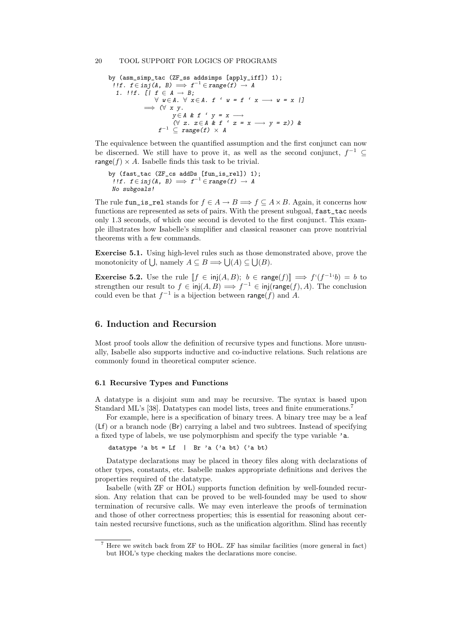```
by (asm_simp_tac (ZF_ss addsimps [apply_iff]) 1);
 !!f. f \in inj(A, B) \implies f^{-1} \in range(f) \to A1. !!f. [| f \in A \rightarrow B;
                 \forall w \in A. \forall x \in A. f ' w = f ' x \longrightarrow w = x |]
              \implies \forall x y.
                          y \in A & f 'y = x →
                          (\forall z. z \in A & f ' z = x \longrightarrow y = z)) &
                     f^{-1} \subseteq \text{range}(f) \times A
```
The equivalence between the quantified assumption and the first conjunct can now be discerned. We still have to prove it, as well as the second conjunct,  $f^{-1} \subseteq$ range( $f$ )  $\times$  *A*. Isabelle finds this task to be trivial.

by (fast-tac (ZF\_cs addDs [fun\_is\_rel]) 1);  
!!f. 
$$
f \in inj(A, B) \implies f^{-1} \in range(f) \to A
$$
  
No subgoals!

The rule fun\_is\_rel stands for  $f \in A \to B \Longrightarrow f \subseteq A \times B$ . Again, it concerns how functions are represented as sets of pairs. With the present subgoal, fast\_tac needs only 1.3 seconds, of which one second is devoted to the first conjunct. This example illustrates how Isabelle's simplifier and classical reasoner can prove nontrivial theorems with a few commands.

**Exercise 5.1.** Using high-level rules such as those demonstrated above, prove the monotonicity of  $\bigcup$ , namely  $A \subseteq B \Longrightarrow \bigcup (A) \subseteq \bigcup (B)$ .

**Exercise 5.2.** Use the rule  $[f \in inj(A, B); b \in range(f)] \implies f'(f^{-1}b) = b$  to strengthen our result to  $f \in \text{inj}(A, B) \Longrightarrow f^{-1} \in \text{inj}(\text{range}(f), A)$ . The conclusion could even be that  $f^{-1}$  is a bijection between range( $f$ ) and  $A$ .

## **6. Induction and Recursion**

Most proof tools allow the definition of recursive types and functions. More unusually, Isabelle also supports inductive and co-inductive relations. Such relations are commonly found in theoretical computer science.

## **6.1 Recursive Types and Functions**

A datatype is a disjoint sum and may be recursive. The syntax is based upon Standard ML's [38]. Datatypes can model lists, trees and finite enumerations.<sup>7</sup>

For example, here is a specification of binary trees. A binary tree may be a leaf (Lf) or a branch node (Br) carrying a label and two subtrees. Instead of specifying a fixed type of labels, we use polymorphism and specify the type variable 'a.

datatype 'a  $bt = Lf$  | Br 'a ('a  $bt$ ) ('a  $bt$ )

Datatype declarations may be placed in theory files along with declarations of other types, constants, etc. Isabelle makes appropriate definitions and derives the properties required of the datatype.

Isabelle (with ZF or HOL) supports function definition by well-founded recursion. Any relation that can be proved to be well-founded may be used to show termination of recursive calls. We may even interleave the proofs of termination and those of other correctness properties; this is essential for reasoning about certain nested recursive functions, such as the unification algorithm. Slind has recently

<sup>7</sup> Here we switch back from ZF to HOL. ZF has similar facilities (more general in fact) but HOL's type checking makes the declarations more concise.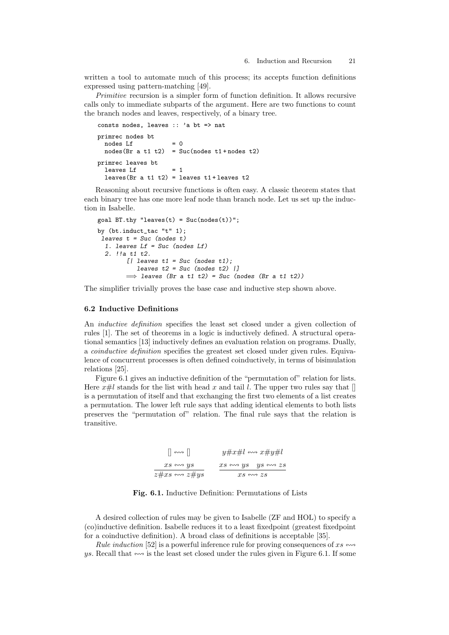written a tool to automate much of this process; its accepts function definitions expressed using pattern-matching [49].

Primitive recursion is a simpler form of function definition. It allows recursive calls only to immediate subparts of the argument. Here are two functions to count the branch nodes and leaves, respectively, of a binary tree.

```
consts nodes, leaves :: 'a bt => nat
primrec nodes bt
 nodes \tIf = 0nodes(Br a t1 t2) = Succ(node s t1 + nodes t2)primrec leaves bt
 leaves I.f = 1leaves(Br a t1 t2) = leaves t1 + \text{leaves } t2
```
Reasoning about recursive functions is often easy. A classic theorem states that each binary tree has one more leaf node than branch node. Let us set up the induction in Isabelle.

```
goal BT.thy "leaves(t) = Suc(nodes(t))";
by (bt.induct_tac "t" 1);
 leaves t = Succ (nodes t)
  1. leaves Lf = Succ (nodes Lf)
  2. !!a t1 t2.
        [| leaves t1 = Suc (nodes t1);
          leaves t2 = Suc (nodes t2) |]
        \implies leaves (Br a t1 t2) = Suc (nodes (Br a t1 t2))
```
The simplifier trivially proves the base case and inductive step shown above.

## **6.2 Inductive Definitions**

An inductive definition specifies the least set closed under a given collection of rules [1]. The set of theorems in a logic is inductively defined. A structural operational semantics [13] inductively defines an evaluation relation on programs. Dually, a coinductive definition specifies the greatest set closed under given rules. Equivalence of concurrent processes is often defined coinductively, in terms of bisimulation relations [25].

Figure 6.1 gives an inductive definition of the "permutation of" relation for lists. Here  $x \# l$  stands for the list with head  $x$  and tail *l*. The upper two rules say that  $\lceil \rceil$ is a permutation of itself and that exchanging the first two elements of a list creates a permutation. The lower left rule says that adding identical elements to both lists preserves the "permutation of" relation. The final rule says that the relation is transitive.

> $\Box$   $\longleftrightarrow$   $\Box$   $y \# x \# l \leftrightarrow x \# y \# l$  $xs \leftrightarrow ys$ *z*#*xs* ! *z*#*ys*  $xs \leftrightarrow ys$   $ys \leftrightarrow zs$  $xs \leftrightarrow xs$

**Fig. 6.1.** Inductive Definition: Permutations of Lists

A desired collection of rules may be given to Isabelle (ZF and HOL) to specify a (co)inductive definition. Isabelle reduces it to a least fixedpoint (greatest fixedpoint for a coinductive definition). A broad class of definitions is acceptable [35].

Rule induction [52] is a powerful inference rule for proving consequences of *xs* ! ys. Recall that  $\sim$  is the least set closed under the rules given in Figure 6.1. If some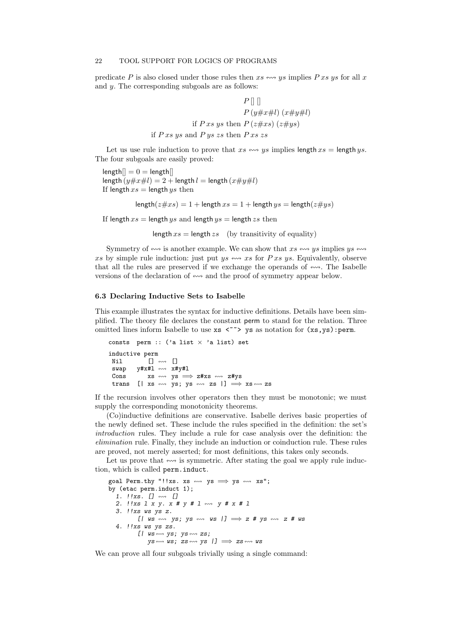predicate P is also closed under those rules then  $xs \rightsquigarrow ys$  implies P xs ys for all x and *y*. The corresponding subgoals are as follows:

$$
P[] []
$$
  
\n
$$
P (y \# x \# l) (x \# y \# l)
$$
  
\nif *P xs ys* then  $P (z \# xs) (z \# ys)$   
\nif *P xs ys* and *P ys zs* then *P xs zs*

Let us use rule induction to prove that  $xs \leftrightarrow ys$  implies length  $xs =$  length ys. The four subgoals are easily proved:

 $\text{length}$  $= 0 = \text{length}$  $length(y \# x \# l) = 2 + length l = length(x \# y \# l)$ If length  $xs$  = length  $ys$  then

 $\text{length}(z \# xs) = 1 + \text{length} x s = 1 + \text{length} y s = \text{length}(z \# y s)$ 

If length  $xs =$  length  $ys$  and length  $ys =$  length  $zs$  then

length  $xs =$  length  $zs$  (by transitivity of equality)

Symmetry of  $\sim$  is another example. We can show that  $xs \sim ys$  implies  $ys \sim$ xs by simple rule induction: just put  $ys \leftrightarrow xs$  for *P xs ys*. Equivalently, observe that all the rules are preserved if we exchange the operands of  $\sim$ . The Isabelle versions of the declaration of  $\leftrightarrow$  and the proof of symmetry appear below.

## **6.3 Declaring Inductive Sets to Isabelle**

This example illustrates the syntax for inductive definitions. Details have been simplified. The theory file declares the constant perm to stand for the relation. Three omitted lines inform Isabelle to use  $x \leq x > y$  as notation for  $(x, y)$ : perm.

```
consts perm :: ('a list \times 'a list) set
inductive perm
 Nil [] \leftrightarrow []swap y \# x \# 1 \leftrightarrow x \# y \# 1<br>Cons xs \leftrightarrow ys \equivxs \leftrightarrow ys \implies z#xs \leftrightarrow z#ystrans [| xs \cdots ys; ys \cdots zs |] \Rightarrow xs\cdots zs
```
If the recursion involves other operators then they must be monotonic; we must supply the corresponding monotonicity theorems.

(Co)inductive definitions are conservative. Isabelle derives basic properties of the newly defined set. These include the rules specified in the definition: the set's introduction rules. They include a rule for case analysis over the definition: the elimination rule. Finally, they include an induction or coinduction rule. These rules are proved, not merely asserted; for most definitions, this takes only seconds.

Let us prove that  $\leftrightarrow$  is symmetric. After stating the goal we apply rule induction, which is called perm.induct.

```
goal Perm.thy "!!xs. xs \leftrightarrow ys \Rightarrow ys \leftrightarrow xs";
by (etac perm.induct 1);
   1. !!xs. [] \leftrightarrow []
   2. !!xs 1 \times y. x \# y \# 1 \leftrightarrow y \# x \# 13. !!xs ws ys z.
             [ \ ] ws \leftrightsquigarrow ys; ys \leftrightsquigarrow ws ] \implies z # ys \leftrightsquigarrow z # ws
   4. !!xs ws ys zs.
              [| ws \cdots ys; ys \cdots zs;
                   \forall S \leftrightarrow \forall S; ZS \leftrightarrow \forall S | \} \implies ZS \leftrightarrow \forall S
```
We can prove all four subgoals trivially using a single command: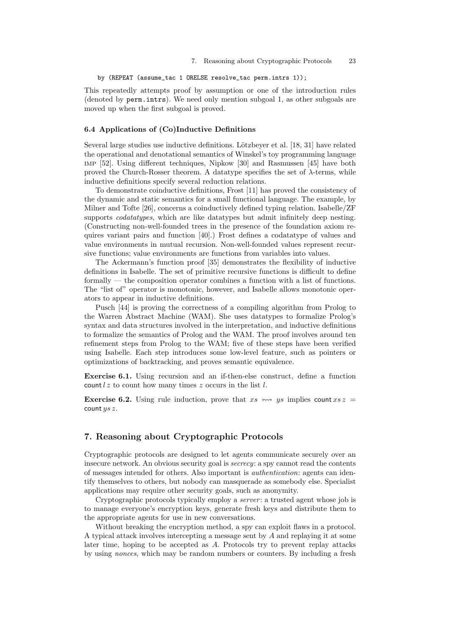#### by (REPEAT (assume\_tac 1 ORELSE resolve\_tac perm.intrs 1));

This repeatedly attempts proof by assumption or one of the introduction rules (denoted by perm.intrs). We need only mention subgoal 1, as other subgoals are moved up when the first subgoal is proved.

## **6.4 Applications of (Co)Inductive Definitions**

Several large studies use inductive definitions. Lötzbeyer et al. [18, 31] have related the operational and denotational semantics of Winskel's toy programming language imp [52]. Using different techniques, Nipkow [30] and Rasmussen [45] have both proved the Church-Rosser theorem. A datatype specifies the set of *λ*-terms, while inductive definitions specify several reduction relations.

To demonstrate coinductive definitions, Frost [11] has proved the consistency of the dynamic and static semantics for a small functional language. The example, by Milner and Tofte [26], concerns a coinductively defined typing relation. Isabelle/ZF supports *codatatypes*, which are like datatypes but admit infinitely deep nesting. (Constructing non-well-founded trees in the presence of the foundation axiom requires variant pairs and function [40].) Frost defines a codatatype of values and value environments in mutual recursion. Non-well-founded values represent recursive functions; value environments are functions from variables into values.

The Ackermann's function proof [35] demonstrates the flexibility of inductive definitions in Isabelle. The set of primitive recursive functions is difficult to define formally — the composition operator combines a function with a list of functions. The "list of" operator is monotonic, however, and Isabelle allows monotonic operators to appear in inductive definitions.

Pusch [44] is proving the correctness of a compiling algorithm from Prolog to the Warren Abstract Machine (WAM). She uses datatypes to formalize Prolog's syntax and data structures involved in the interpretation, and inductive definitions to formalize the semantics of Prolog and the WAM. The proof involves around ten refinement steps from Prolog to the WAM; five of these steps have been verified using Isabelle. Each step introduces some low-level feature, such as pointers or optimizations of backtracking, and proves semantic equivalence.

**Exercise 6.1.** Using recursion and an if-then-else construct, define a function count*l z* to count how many times *z* occurs in the list *l*.

**Exercise 6.2.** Using rule induction, prove that  $xs \leftrightarrow ys$  implies count  $xs z =$ count *ysz*.

## **7. Reasoning about Cryptographic Protocols**

Cryptographic protocols are designed to let agents communicate securely over an insecure network. An obvious security goal is secrecy: a spy cannot read the contents of messages intended for others. Also important is authentication: agents can identify themselves to others, but nobody can masquerade as somebody else. Specialist applications may require other security goals, such as anonymity.

Cryptographic protocols typically employ a *server*: a trusted agent whose job is to manage everyone's encryption keys, generate fresh keys and distribute them to the appropriate agents for use in new conversations.

Without breaking the encryption method, a spy can exploit flaws in a protocol. A typical attack involves intercepting a message sent by *A* and replaying it at some later time, hoping to be accepted as *A*. Protocols try to prevent replay attacks by using nonces, which may be random numbers or counters. By including a fresh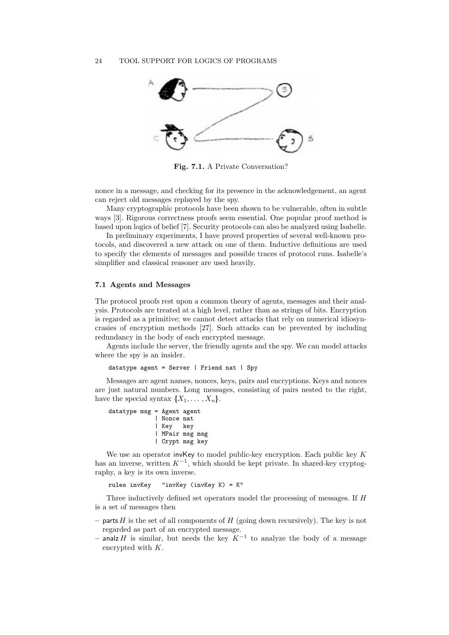

**Fig. 7.1.** A Private Conversation?

nonce in a message, and checking for its presence in the acknowledgement, an agent can reject old messages replayed by the spy.

Many cryptographic protocols have been shown to be vulnerable, often in subtle ways [3]. Rigorous correctness proofs seem essential. One popular proof method is based upon logics of belief [7]. Security protocols can also be analyzed using Isabelle.

In preliminary experiments, I have proved properties of several well-known protocols, and discovered a new attack on one of them. Inductive definitions are used to specify the elements of messages and possible traces of protocol runs. Isabelle's simplifier and classical reasoner are used heavily.

## **7.1 Agents and Messages**

The protocol proofs rest upon a common theory of agents, messages and their analysis. Protocols are treated at a high level, rather than as strings of bits. Encryption is regarded as a primitive; we cannot detect attacks that rely on numerical idiosyncrasies of encryption methods [27]. Such attacks can be prevented by including redundancy in the body of each encrypted message.

Agents include the server, the friendly agents and the spy. We can model attacks where the spy is an insider.

```
datatype agent = Server | Friend nat | Spy
```
Messages are agent names, nonces, keys, pairs and encryptions. Keys and nonces are just natural numbers. Long messages, consisting of pairs nested to the right, have the special syntax  $\{X_1, \ldots, X_n\}.$ 

```
datatype msg = Agent agent
             | Nonce nat
             | Key key
             | MPair msg msg
             | Crypt msg key
```
We use an operator invKey to model public-key encryption. Each public key *K* has an inverse, written  $K^{-1}$ , which should be kept private. In shared-key cryptography, a key is its own inverse.

rules invKey "invKey (invKey K) = K"

Three inductively defined set operators model the processing of messages. If *H* is a set of messages then

- **–** parts *H* is the set of all components of *H* (going down recursively). The key is not regarded as part of an encrypted message.
- **–** analz *H* is similar, but needs the key *K*−<sup>1</sup> to analyze the body of a message encrypted with *K*.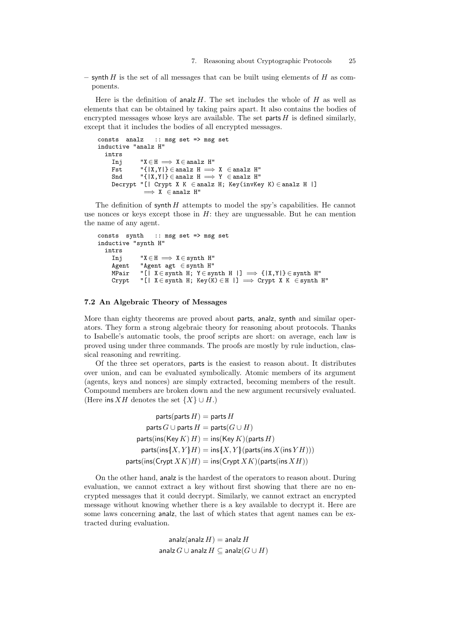**–** synth *H* is the set of all messages that can be built using elements of *H* as components.

Here is the definition of analz  $H$ . The set includes the whole of  $H$  as well as elements that can be obtained by taking pairs apart. It also contains the bodies of encrypted messages whose keys are available. The set parts  $H$  is defined similarly, except that it includes the bodies of all encrypted messages.

```
consts analz :: msg set => msg set
inductive "analz H"
   intrs
      Inj "X \in H \implies X \in \text{anal } z \ H"<br>Fst. "{\{X,Y\}} \in \text{anal } z \ H \impliesFst ''\{[X,Y]\}\in analz H \implies X \in analz H''<br>Snd ''\{[X,Y]\}\in analz H \implies Y \in analz H''"{\{X,Y|\}}\inanalz H \implies Y \in analz H"
      Decrypt "[| Crypt X K ∈ analz H; Key(invKey K) ∈ analz H |]
                     \implies X \in analz H"
```
The definition of synth *H* attempts to model the spy's capabilities. He cannot use nonces or keys except those in  $H$ : they are unguessable. But he can mention the name of any agent.

```
consts synth :: msg set => msg set
inductive "synth H"
   intrs
       Inj "X \in H \implies X \in \text{synth } H"<br>Agent "Agent agt \in synth H"
       Agent "Agent agt \in synth H"<br>MPair "[| X\in synth H; Y\in sy
       MPair "[X \in \text{synth H}; Y \in \text{synth H}] \implies \{[X, Y]\} \in \text{synth H}"<br>Crypt "[X \in \text{synth H}; \text{Key}(X) \in H] \implies \text{Crypt X } X \in \text{synth}"[| X ∈ synth H; Key(K) ∈ H |] \implies Crypt X K ∈ synth H"
```
## **7.2 An Algebraic Theory of Messages**

More than eighty theorems are proved about parts, analz, synth and similar operators. They form a strong algebraic theory for reasoning about protocols. Thanks to Isabelle's automatic tools, the proof scripts are short: on average, each law is proved using under three commands. The proofs are mostly by rule induction, classical reasoning and rewriting.

Of the three set operators, parts is the easiest to reason about. It distributes over union, and can be evaluated symbolically. Atomic members of its argument (agents, keys and nonces) are simply extracted, becoming members of the result. Compound members are broken down and the new argument recursively evaluated. (Here ins *XH* denotes the set  $\{X\} \cup H$ .)

> $parts(parts H) = parts H$  $parts G ∪ parts H = parts(G ∪ H)$  $parts($ ins(Key  $K$ )  $H$ ) = ins(Key  $K$ )(parts  $H$ )  $parts(\text{ins}\{X,Y\}H) = \text{ins}\{X,Y\}$ (parts(ins  $X(\text{ins }YH))$ )  $parts(ins(Crypt XK)H) = ins(Crypt XK)(parts(ins XH))$

On the other hand, analz is the hardest of the operators to reason about. During evaluation, we cannot extract a key without first showing that there are no encrypted messages that it could decrypt. Similarly, we cannot extract an encrypted message without knowing whether there is a key available to decrypt it. Here are some laws concerning analz, the last of which states that agent names can be extracted during evaluation.

> analz(analz  $H$ ) = analz  $H$ analz *G* ∪ analz *H* ⊆ analz(*G* ∪ *H*)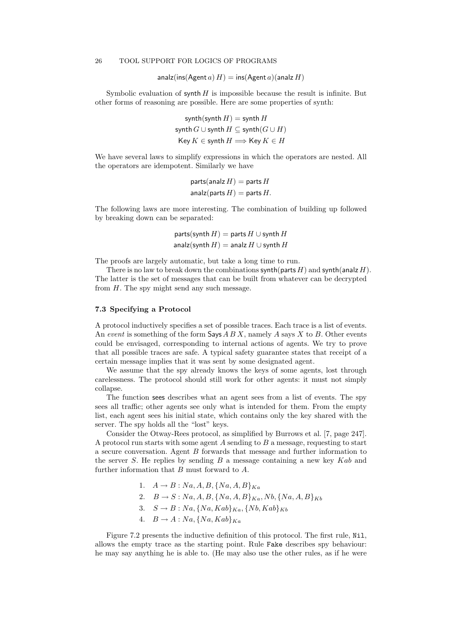analz(ins(Agent  $a)$   $H$ ) = ins(Agent  $a$ )(analz  $H$ )

Symbolic evaluation of synth  $H$  is impossible because the result is infinite. But other forms of reasoning are possible. Here are some properties of synth:

> $synth(synth H) = synth H$ synth  $G \cup$  synth  $H \subseteq$  synth $(G \cup H)$  $Kev K \in$  synth  $H \Longrightarrow$  Key  $K \in H$

We have several laws to simplify expressions in which the operators are nested. All the operators are idempotent. Similarly we have

> $parts(analzH) = partsH$ analz(parts  $H$ ) = parts  $H$ .

The following laws are more interesting. The combination of building up followed by breaking down can be separated:

> $parts(synth H) = parts H \cup synth H$ analz(synth  $H$ ) = analz  $H \cup$  synth  $H$

The proofs are largely automatic, but take a long time to run.

There is no law to break down the combinations synth(parts  $H$ ) and synth(analz  $H$ ). The latter is the set of messages that can be built from whatever can be decrypted from *H*. The spy might send any such message.

## **7.3 Specifying a Protocol**

A protocol inductively specifies a set of possible traces. Each trace is a list of events. An event is something of the form Says *ABX*, namely *A* says *X* to *B*. Other events could be envisaged, corresponding to internal actions of agents. We try to prove that all possible traces are safe. A typical safety guarantee states that receipt of a certain message implies that it was sent by some designated agent.

We assume that the spy already knows the keys of some agents, lost through carelessness. The protocol should still work for other agents: it must not simply collapse.

The function sees describes what an agent sees from a list of events. The spy sees all traffic; other agents see only what is intended for them. From the empty list, each agent sees his initial state, which contains only the key shared with the server. The spy holds all the "lost" keys.

Consider the Otway-Rees protocol, as simplified by Burrows et al. [7, page 247]. A protocol run starts with some agent *A* sending to *B* a message, requesting to start a secure conversation. Agent *B* forwards that message and further information to the server *S*. He replies by sending *B* a message containing a new key *Kab* and further information that *B* must forward to *A*.

> 1*.*  $A \to B : Na, A, B, \{Na, A, B\}_{Ka}$ 2.  $B \to S : Na, A, B, \{Na, A, B\}_{Ka}, Nb, \{Na, A, B\}_{Kb}$ 3.  $S \to B : Na, \{Na, Kab\}_{Ka}, \{Nb, Kab\}_{Kh}$ 4*.*  $B \rightarrow A : Na, \{Na, Kab\}_{K_a}$

Figure 7.2 presents the inductive definition of this protocol. The first rule, Nil, allows the empty trace as the starting point. Rule Fake describes spy behaviour: he may say anything he is able to. (He may also use the other rules, as if he were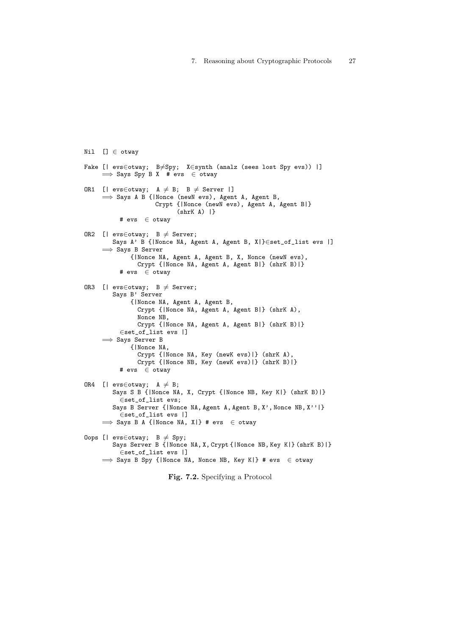```
Nil [] ∈ otway
Fake [| evs∈otway; B\neqSpy; X∈synth (analz (sees lost Spy evs)) |]
     =⇒ Says Spy B X # evs ∈ otway
OR1 [| evs∈otway; A \neq B; B \neq Server |]
     =⇒ Says A B {|Nonce (newN evs), Agent A, Agent B,
                    Crypt {|Nonce (newN evs), Agent A, Agent B|}
                          (shrK A) |}
          # evs ∈ otway
OR2 [| evs∈otway; B \neq Server;
        Says A' B {|Nonce NA, Agent A, Agent B, X|}∈set_of_list evs |]
     =⇒ Says B Server
             {|Nonce NA, Agent A, Agent B, X, Nonce (newN evs),
               Crypt {|Nonce NA, Agent A, Agent B|} (shrK B)|}
          # evs ∈ otway
OR3 [| evs∈otway; B \neq Server;
        Says B' Server
             {|Nonce NA, Agent A, Agent B,
               Crypt {|Nonce NA, Agent A, Agent B|} (shrK A),
               Nonce NB,
               Crypt {|Nonce NA, Agent A, Agent B|} (shrK B)|}
          ∈set_of_list evs |]
     =⇒ Says Server B
             {|Nonce NA,
               Crypt {|Nonce NA, Key (newK evs)|} (shrK A),
               Crypt {|Nonce NB, Key (newK evs)|} (shrK B)|}
          # evs ∈ otway
OR4 [| evs∈otway; A \neq B;
        Says S B {|Nonce NA, X, Crypt {|Nonce NB, Key K|} (shrK B)|}
          ∈set_of_list evs;
        Says B Server {|Nonce NA, Agent A, Agent B, X', Nonce NB, X''|}
          ∈set_of_list evs |]
     =⇒ Says B A {|Nonce NA, X|} # evs ∈ otway
Oops [| evs∈otway; B \neq Spy;
        Says Server B {|Nonce NA, X, Crypt {|Nonce NB, Key K|} (shrK B)|}
          ∈set_of_list evs |]
     =⇒ Says B Spy {|Nonce NA, Nonce NB, Key K|} # evs ∈ otway
```
**Fig. 7.2.** Specifying a Protocol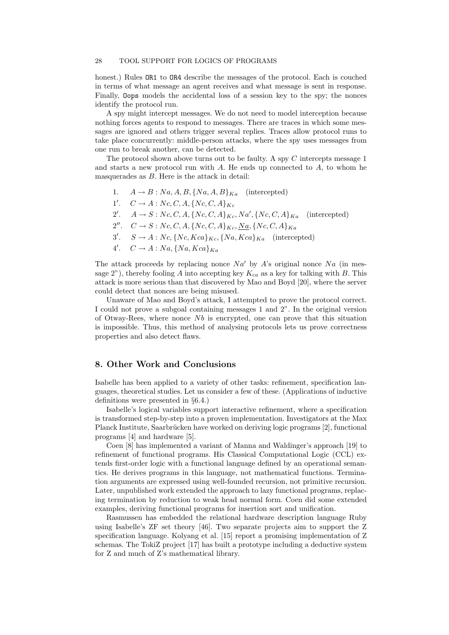honest.) Rules OR1 to OR4 describe the messages of the protocol. Each is couched in terms of what message an agent receives and what message is sent in response. Finally, Oops models the accidental loss of a session key to the spy; the nonces identify the protocol run.

A spy might intercept messages. We do not need to model interception because nothing forces agents to respond to messages. There are traces in which some messages are ignored and others trigger several replies. Traces allow protocol runs to take place concurrently: middle-person attacks, where the spy uses messages from one run to break another, can be detected.

The protocol shown above turns out to be faulty. A spy *C* intercepts message 1 and starts a new protocol run with *A*. He ends up connected to *A*, to whom he masquerades as *B*. Here is the attack in detail:

- 1.  $A \rightarrow B : Na, A, B, \{Na, A, B\}_{Ka}$  (intercepted)
- 1'.  $C \to A : Nc, C, A, \{Nc, C, A\}_{Kc}$
- 2'.  $A \rightarrow S : Nc, C, A, \{Nc, C, A\}_{Kc}, Na', \{Nc, C, A\}_{Ka}$  (intercepted)
- $2''$ .  $C \to S : Nc, C, A, \{Nc, C, A\}_{Kc}, Na, \{Nc, C, A\}_{Ka}$
- 3'.  $S \to A : Nc, \{Nc, Kca\}_{Kc}, \{Na, Kca\}_{Ka}$  (intercepted)
- $4'. \quad C \rightarrow A : Na, \{Na, Kca\}_{Ka}$

The attack proceeds by replacing nonce  $Na'$  by  $A$ 's original nonce  $Na$  (in message 2"), thereby fooling *A* into accepting key  $K_{ca}$  as a key for talking with *B*. This attack is more serious than that discovered by Mao and Boyd [20], where the server could detect that nonces are being misused.

Unaware of Mao and Boyd's attack, I attempted to prove the protocol correct. I could not prove a subgoal containing messages 1 and 2". In the original version of Otway-Rees, where nonce *Nb* is encrypted, one can prove that this situation is impossible. Thus, this method of analysing protocols lets us prove correctness properties and also detect flaws.

## **8. Other Work and Conclusions**

Isabelle has been applied to a variety of other tasks: refinement, specification languages, theoretical studies. Let us consider a few of these. (Applications of inductive definitions were presented in §6.4.)

Isabelle's logical variables support interactive refinement, where a specification is transformed step-by-step into a proven implementation. Investigators at the Max Planck Institute, Saarbrücken have worked on deriving logic programs [2], functional programs [4] and hardware [5].

Coen [8] has implemented a variant of Manna and Waldinger's approach [19] to refinement of functional programs. His Classical Computational Logic (CCL) extends first-order logic with a functional language defined by an operational semantics. He derives programs in this language, not mathematical functions. Termination arguments are expressed using well-founded recursion, not primitive recursion. Later, unpublished work extended the approach to lazy functional programs, replacing termination by reduction to weak head normal form. Coen did some extended examples, deriving functional programs for insertion sort and unification.

Rasmussen has embedded the relational hardware description language Ruby using Isabelle's ZF set theory [46]. Two separate projects aim to support the Z specification language. Kolyang et al. [15] report a promising implementation of Z schemas. The TokiZ project [17] has built a prototype including a deductive system for Z and much of Z's mathematical library.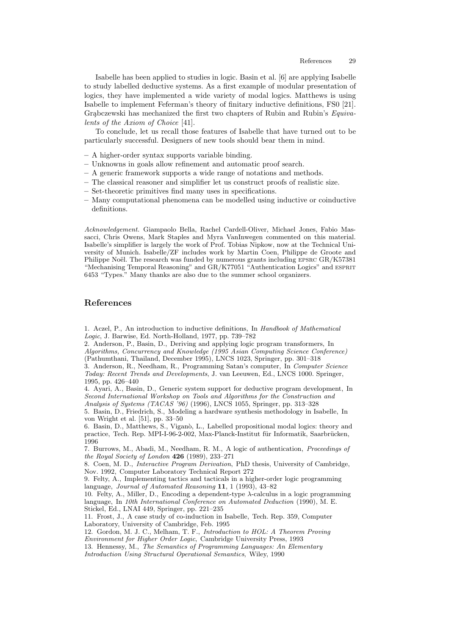Isabelle has been applied to studies in logic. Basin et al. [6] are applying Isabelle to study labelled deductive systems. As a first example of modular presentation of logics, they have implemented a wide variety of modal logics. Matthews is using Isabelle to implement Feferman's theory of finitary inductive definitions, FS0 [21]. Grabczewski has mechanized the first two chapters of Rubin and Rubin's *Equiva*lents of the Axiom of Choice [41].

To conclude, let us recall those features of Isabelle that have turned out to be particularly successful. Designers of new tools should bear them in mind.

- **–** A higher-order syntax supports variable binding.
- **–** Unknowns in goals allow refinement and automatic proof search.
- **–** A generic framework supports a wide range of notations and methods.
- **–** The classical reasoner and simplifier let us construct proofs of realistic size.
- **–** Set-theoretic primitives find many uses in specifications.
- **–** Many computational phenomena can be modelled using inductive or coinductive definitions.

*Acknowledgement.* Giampaolo Bella, Rachel Cardell-Oliver, Michael Jones, Fabio Massacci, Chris Owens, Mark Staples and Myra VanInwegen commented on this material. Isabelle's simplifier is largely the work of Prof. Tobias Nipkow, now at the Technical University of Munich. Isabelle/ZF includes work by Martin Coen, Philippe de Groote and Philippe Noël. The research was funded by numerous grants including EPSRC GR/K57381 "Mechanising Temporal Reasoning" and GR/K77051 "Authentication Logics" and ESPRIT 6453 "Types." Many thanks are also due to the summer school organizers.

## **References**

1. Aczel, P., An introduction to inductive definitions, In *Handbook of Mathematical Logic*, J. Barwise, Ed. North-Holland, 1977, pp. 739–782

2. Anderson, P., Basin, D., Deriving and applying logic program transformers, In *Algorithms, Concurrency and Knowledge (1995 Asian Computing Science Conference)* (Pathumthani, Thailand, December 1995), LNCS 1023, Springer, pp. 301–318

3. Anderson, R., Needham, R., Programming Satan's computer, In *Computer Science Today: Recent Trends and Developments*, J. van Leeuwen, Ed., LNCS 1000. Springer, 1995, pp. 426–440

4. Ayari, A., Basin, D., Generic system support for deductive program development, In *Second International Workshop on Tools and Algorithms for the Construction and Analysis of Systems (TACAS '96)* (1996), LNCS 1055, Springer, pp. 313–328

5. Basin, D., Friedrich, S., Modeling a hardware synthesis methodology in Isabelle, In von Wright et al. [51], pp. 33–50

6. Basin, D., Matthews, S., Vigan`o, L., Labelled propositional modal logics: theory and practice, Tech. Rep. MPI-I-96-2-002, Max-Planck-Institut für Informatik, Saarbrücken, 1996

7. Burrows, M., Abadi, M., Needham, R. M., A logic of authentication, *Proceedings of the Royal Society of London* **426** (1989), 233–271

8. Coen, M. D., *Interactive Program Derivation*, PhD thesis, University of Cambridge, Nov. 1992, Computer Laboratory Technical Report 272

9. Felty, A., Implementing tactics and tacticals in a higher-order logic programming language, *Journal of Automated Reasoning* **11**, 1 (1993), 43–82

10. Felty, A., Miller, D., Encoding a dependent-type *λ*-calculus in a logic programming language, In *10th International Conference on Automated Deduction* (1990), M. E. Stickel, Ed., LNAI 449, Springer, pp. 221–235

11. Frost, J., A case study of co-induction in Isabelle, Tech. Rep. 359, Computer Laboratory, University of Cambridge, Feb. 1995

12. Gordon, M. J. C., Melham, T. F., *Introduction to HOL: A Theorem Proving Environment for Higher Order Logic*, Cambridge University Press, 1993

13. Hennessy, M., *The Semantics of Programming Languages: An Elementary Introduction Using Structural Operational Semantics*, Wiley, 1990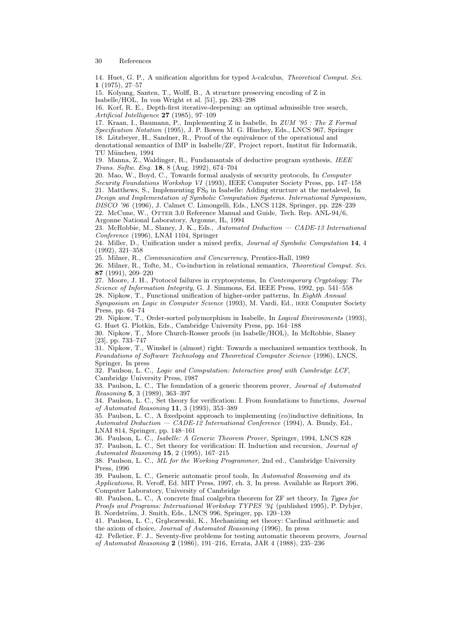30 References

14. Huet, G. P., A unification algorithm for typed *λ*-calculus, *Theoretical Comput. Sci.* **1** (1975), 27–57

15. Kolyang, Santen, T., Wolff, B., A structure preserving encoding of Z in Isabelle/HOL, In von Wright et al. [51], pp. 283–298

16. Korf, R. E., Depth-first iterative-deepening: an optimal admissible tree search, *Artificial Intelligence* **27** (1985), 97–109

17. Kraan, I., Baumann, P., Implementing Z in Isabelle, In *ZUM '95 : The Z Formal Specification Notation* (1995), J. P. Bowen M. G. Hinchey, Eds., LNCS 967, Springer 18. Lötzbeyer, H., Sandner, R., Proof of the equivalence of the operational and denotational semantics of IMP in Isabelle/ $ZF$ , Project report, Institut für Informatik, TU München, 1994

19. Manna, Z., Waldinger, R., Fundamantals of deductive program synthesis, *IEEE Trans. Softw. Eng.* **18**, 8 (Aug. 1992), 674–704

20. Mao, W., Boyd, C., Towards formal analysis of security protocols, In *Computer Security Foundations Workshop VI* (1993), IEEE Computer Society Press, pp. 147–158 21. Matthews, S., Implementing  $FS_0$  in Isabelle: Adding structure at the metalevel, In *Design and Implementation of Symbolic Computation Systems. International Symposium, DISCO '96* (1996), J. Calmet C. Limongelli, Eds., LNCS 1128, Springer, pp. 228–239 22. McCune, W., OTTER 3.0 Reference Manual and Guide, Tech. Rep. ANL-94/6,

Argonne National Laboratory, Argonne, IL, 1994

23. McRobbie, M., Slaney, J. K., Eds., *Automated Deduction — CADE-13 International Conference* (1996), LNAI 1104, Springer

24. Miller, D., Unification under a mixed prefix, *Journal of Symbolic Computation* **14**, 4 (1992), 321–358

25. Milner, R., *Communication and Concurrency*, Prentice-Hall, 1989

26. Milner, R., Tofte, M., Co-induction in relational semantics, *Theoretical Comput. Sci.* **87** (1991), 209–220

27. Moore, J. H., Protocol failures in cryptosystems, In *Contemporary Cryptology: The Science of Information Integrity*, G. J. Simmons, Ed. IEEE Press, 1992, pp. 541–558

28. Nipkow, T., Functional unification of higher-order patterns, In *Eighth Annual Symposium on Logic in Computer Science* (1993), M. Vardi, Ed., ieee Computer Society Press, pp. 64–74

29. Nipkow, T., Order-sorted polymorphism in Isabelle, In *Logical Environments* (1993), G. Huet G. Plotkin, Eds., Cambridge University Press, pp. 164–188

30. Nipkow, T., More Church-Rosser proofs (in Isabelle/HOL), In McRobbie, Slaney [23], pp. 733–747

31. Nipkow, T., Winskel is (almost) right: Towards a mechanized semantics textbook, In *Foundations of Software Technology and Theoretical Computer Science* (1996), LNCS, Springer, In press

32. Paulson, L. C., *Logic and Computation: Interactive proof with Cambridge LCF*, Cambridge University Press, 1987

33. Paulson, L. C., The foundation of a generic theorem prover, *Journal of Automated Reasoning* **5**, 3 (1989), 363–397

34. Paulson, L. C., Set theory for verification: I. From foundations to functions, *Journal of Automated Reasoning* **11**, 3 (1993), 353–389

35. Paulson, L. C., A fixedpoint approach to implementing (co)inductive definitions, In *Automated Deduction — CADE-12 International Conference* (1994), A. Bundy, Ed., LNAI 814, Springer, pp. 148–161

36. Paulson, L. C., *Isabelle: A Generic Theorem Prover*, Springer, 1994, LNCS 828

37. Paulson, L. C., Set theory for verification: II. Induction and recursion, *Journal of Automated Reasoning* **15**, 2 (1995), 167–215

38. Paulson, L. C., *ML for the Working Programmer*, 2nd ed., Cambridge University Press, 1996

39. Paulson, L. C., Generic automatic proof tools, In *Automated Reasoning and its Applications*, R. Veroff, Ed. MIT Press, 1997, ch. 3, In press. Available as Report 396, Computer Laboratory, University of Cambridge

40. Paulson, L. C., A concrete final coalgebra theorem for ZF set theory, In *Types for Proofs and Programs: International Workshop TYPES '94* (published 1995), P. Dybjer, B. Nordström, J. Smith, Eds., LNCS 996, Springer, pp. 120–139

41. Paulson, L. C., Grąbczewski, K., Mechanizing set theory: Cardinal arithmetic and the axiom of choice, *Journal of Automated Reasoning* (1996), In press

42. Pelletier, F. J., Seventy-five problems for testing automatic theorem provers, *Journal of Automated Reasoning* **2** (1986), 191–216, Errata, JAR 4 (1988), 235–236